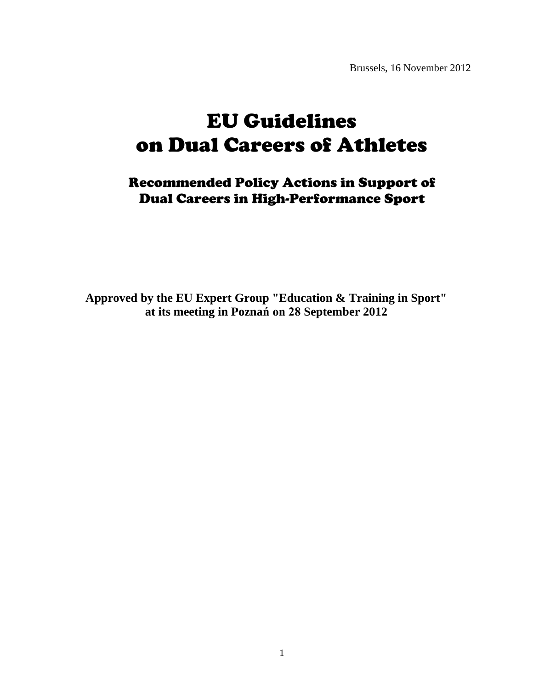Brussels, 16 November 2012

# EU Guidelines on Dual Careers of Athletes

Recommended Policy Actions in Support of Dual Careers in High-Performance Sport

**Approved by the EU Expert Group "Education & Training in Sport" at its meeting in Poznań on 28 September 2012**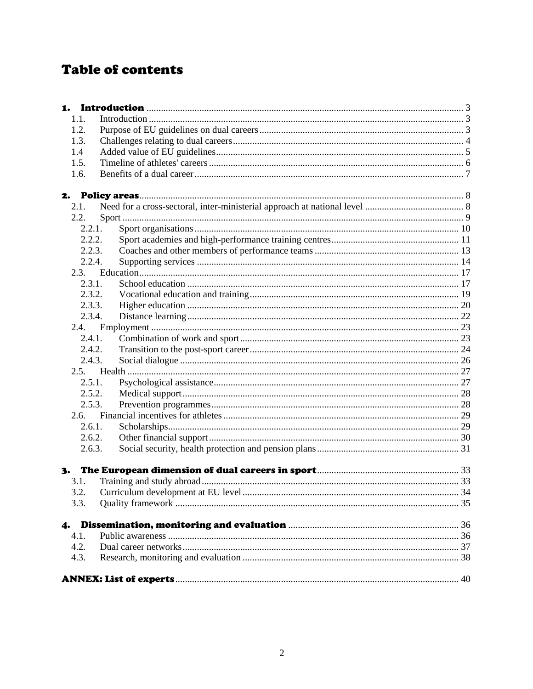# **Table of contents**

| 1.1.   |  |
|--------|--|
| 1.2.   |  |
| 1.3.   |  |
| 1.4    |  |
| 1.5.   |  |
| 1.6.   |  |
|        |  |
| 2.1.   |  |
| 2.2.   |  |
| 2.2.1. |  |
| 2.2.2. |  |
| 2.2.3. |  |
| 2.2.4. |  |
|        |  |
| 2.3.1. |  |
| 2.3.2. |  |
| 2.3.3. |  |
| 2.3.4. |  |
| 2.4.   |  |
| 2.4.1. |  |
| 2.4.2. |  |
| 2.4.3. |  |
|        |  |
| 2.5.1. |  |
| 2.5.2. |  |
| 2.5.3. |  |
|        |  |
| 2.6.1. |  |
| 2.6.2. |  |
| 2.6.3. |  |
| 3.     |  |
| 3.1.   |  |
|        |  |
| 3.3.   |  |
| 4.     |  |
| 4.1.   |  |
| 4.2.   |  |
| 4.3.   |  |
|        |  |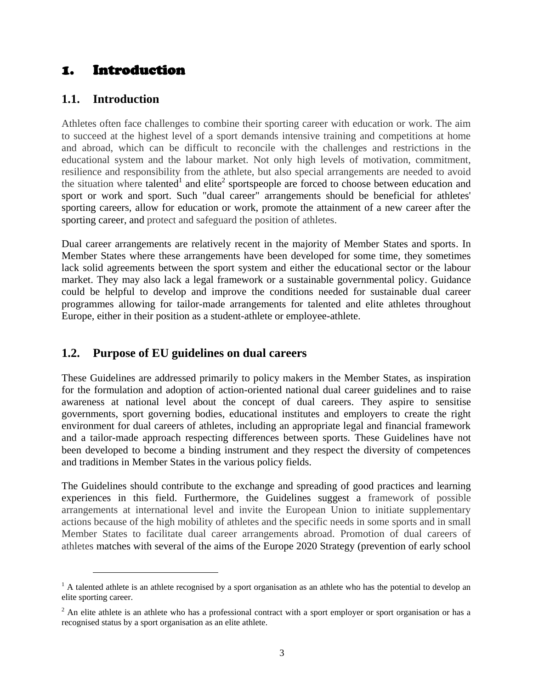# <span id="page-2-0"></span>1. Introduction

# <span id="page-2-1"></span>**1.1. Introduction**

Athletes often face challenges to combine their sporting career with education or work. The aim to succeed at the highest level of a sport demands intensive training and competitions at home and abroad, which can be difficult to reconcile with the challenges and restrictions in the educational system and the labour market. Not only high levels of motivation, commitment, resilience and responsibility from the athlete, but also special arrangements are needed to avoid the situation where talented<sup>1</sup> and elite<sup>2</sup> sportspeople are forced to choose between education and sport or work and sport. Such "dual career" arrangements should be beneficial for athletes' sporting careers, allow for education or work, promote the attainment of a new career after the sporting career, and protect and safeguard the position of athletes.

Dual career arrangements are relatively recent in the majority of Member States and sports. In Member States where these arrangements have been developed for some time, they sometimes lack solid agreements between the sport system and either the educational sector or the labour market. They may also lack a legal framework or a sustainable governmental policy. Guidance could be helpful to develop and improve the conditions needed for sustainable dual career programmes allowing for tailor-made arrangements for talented and elite athletes throughout Europe, either in their position as a student-athlete or employee-athlete.

# <span id="page-2-2"></span>**1.2. Purpose of EU guidelines on dual careers**

These Guidelines are addressed primarily to policy makers in the Member States, as inspiration for the formulation and adoption of action-oriented national dual career guidelines and to raise awareness at national level about the concept of dual careers. They aspire to sensitise governments, sport governing bodies, educational institutes and employers to create the right environment for dual careers of athletes, including an appropriate legal and financial framework and a tailor-made approach respecting differences between sports. These Guidelines have not been developed to become a binding instrument and they respect the diversity of competences and traditions in Member States in the various policy fields.

The Guidelines should contribute to the exchange and spreading of good practices and learning experiences in this field. Furthermore, the Guidelines suggest a framework of possible arrangements at international level and invite the European Union to initiate supplementary actions because of the high mobility of athletes and the specific needs in some sports and in small Member States to facilitate dual career arrangements abroad. Promotion of dual careers of athletes matches with several of the aims of the Europe 2020 Strategy (prevention of early school

 $<sup>1</sup>$  A talented athlete is an athlete recognised by a sport organisation as an athlete who has the potential to develop an</sup> elite sporting career.

 $2$  An elite athlete is an athlete who has a professional contract with a sport employer or sport organisation or has a recognised status by a sport organisation as an elite athlete.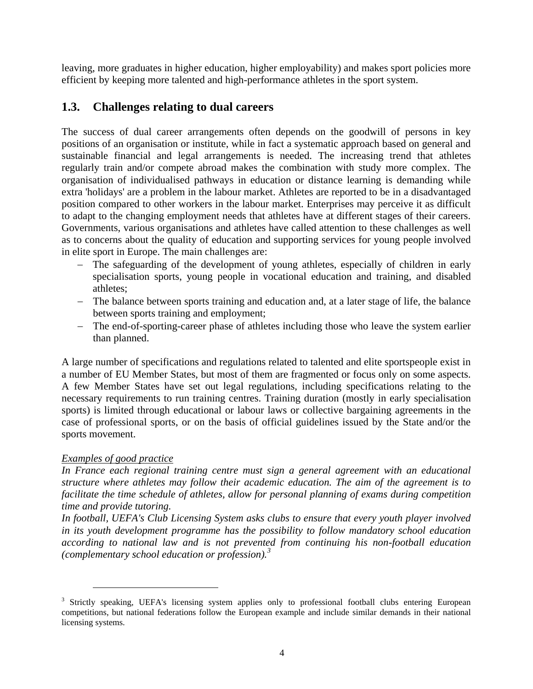leaving, more graduates in higher education, higher employability) and makes sport policies more efficient by keeping more talented and high-performance athletes in the sport system.

# <span id="page-3-0"></span>**1.3. Challenges relating to dual careers**

The success of dual career arrangements often depends on the goodwill of persons in key positions of an organisation or institute, while in fact a systematic approach based on general and sustainable financial and legal arrangements is needed. The increasing trend that athletes regularly train and/or compete abroad makes the combination with study more complex. The organisation of individualised pathways in education or distance learning is demanding while extra 'holidays' are a problem in the labour market. Athletes are reported to be in a disadvantaged position compared to other workers in the labour market. Enterprises may perceive it as difficult to adapt to the changing employment needs that athletes have at different stages of their careers. Governments, various organisations and athletes have called attention to these challenges as well as to concerns about the quality of education and supporting services for young people involved in elite sport in Europe. The main challenges are:

- The safeguarding of the development of young athletes, especially of children in early specialisation sports, young people in vocational education and training, and disabled athletes;
- The balance between sports training and education and, at a later stage of life, the balance between sports training and employment;
- The end-of-sporting-career phase of athletes including those who leave the system earlier than planned.

A large number of specifications and regulations related to talented and elite sportspeople exist in a number of EU Member States, but most of them are fragmented or focus only on some aspects. A few Member States have set out legal regulations, including specifications relating to the necessary requirements to run training centres. Training duration (mostly in early specialisation sports) is limited through educational or labour laws or collective bargaining agreements in the case of professional sports, or on the basis of official guidelines issued by the State and/or the sports movement.

#### *Examples of good practice*

 $\overline{a}$ 

In France each regional training centre must sign a general agreement with an educational *structure where athletes may follow their academic education. The aim of the agreement is to facilitate the time schedule of athletes, allow for personal planning of exams during competition time and provide tutoring.*

*In football, UEFA's Club Licensing System asks clubs to ensure that every youth player involved in its youth development programme has the possibility to follow mandatory school education according to national law and is not prevented from continuing his non-football education (complementary school education or profession).<sup>3</sup>*

<sup>&</sup>lt;sup>3</sup> Strictly speaking, UEFA's licensing system applies only to professional football clubs entering European competitions, but national federations follow the European example and include similar demands in their national licensing systems.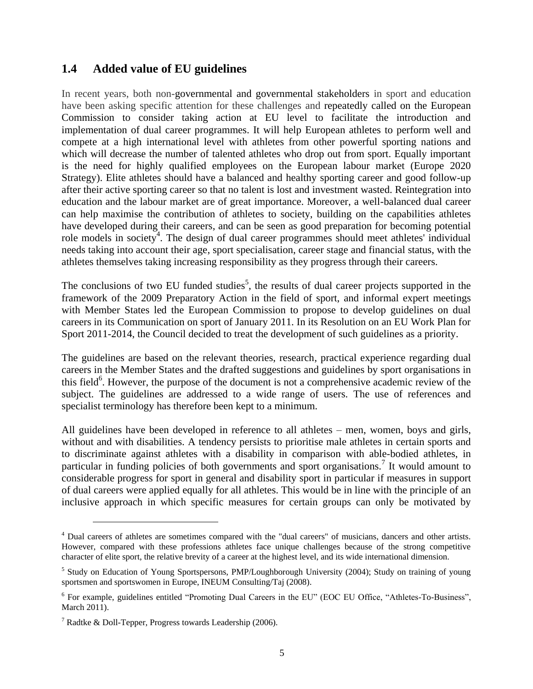# <span id="page-4-0"></span>**1.4 Added value of EU guidelines**

In recent years, both non-governmental and governmental stakeholders in sport and education have been asking specific attention for these challenges and repeatedly called on the European Commission to consider taking action at EU level to facilitate the introduction and implementation of dual career programmes. It will help European athletes to perform well and compete at a high international level with athletes from other powerful sporting nations and which will decrease the number of talented athletes who drop out from sport. Equally important is the need for highly qualified employees on the European labour market (Europe 2020 Strategy). Elite athletes should have a balanced and healthy sporting career and good follow-up after their active sporting career so that no talent is lost and investment wasted. Reintegration into education and the labour market are of great importance. Moreover, a well-balanced dual career can help maximise the contribution of athletes to society, building on the capabilities athletes have developed during their careers, and can be seen as good preparation for becoming potential role models in society<sup>4</sup>. The design of dual career programmes should meet athletes' individual needs taking into account their age, sport specialisation, career stage and financial status, with the athletes themselves taking increasing responsibility as they progress through their careers.

The conclusions of two EU funded studies<sup>5</sup>, the results of dual career projects supported in the framework of the 2009 Preparatory Action in the field of sport, and informal expert meetings with Member States led the European Commission to propose to develop guidelines on dual careers in its Communication on sport of January 2011. In its Resolution on an EU Work Plan for Sport 2011-2014, the Council decided to treat the development of such guidelines as a priority.

The guidelines are based on the relevant theories, research, practical experience regarding dual careers in the Member States and the drafted suggestions and guidelines by sport organisations in this field<sup>6</sup>. However, the purpose of the document is not a comprehensive academic review of the subject. The guidelines are addressed to a wide range of users. The use of references and specialist terminology has therefore been kept to a minimum.

All guidelines have been developed in reference to all athletes – men, women, boys and girls, without and with disabilities. A tendency persists to prioritise male athletes in certain sports and to discriminate against athletes with a disability in comparison with able-bodied athletes, in particular in funding policies of both governments and sport organisations.<sup>7</sup> It would amount to considerable progress for sport in general and disability sport in particular if measures in support of dual careers were applied equally for all athletes. This would be in line with the principle of an inclusive approach in which specific measures for certain groups can only be motivated by

<sup>&</sup>lt;sup>4</sup> Dual careers of athletes are sometimes compared with the "dual careers" of musicians, dancers and other artists. However, compared with these professions athletes face unique challenges because of the strong competitive character of elite sport, the relative brevity of a career at the highest level, and its wide international dimension.

<sup>&</sup>lt;sup>5</sup> Study on Education of Young Sportspersons, PMP/Loughborough University (2004); Study on training of young sportsmen and sportswomen in Europe, INEUM Consulting/Taj (2008).

<sup>&</sup>lt;sup>6</sup> For example, guidelines entitled "Promoting Dual Careers in the EU" (EOC EU Office, "Athletes-To-Business", March 2011).

<sup>&</sup>lt;sup>7</sup> Radtke & Doll-Tepper, Progress towards Leadership (2006).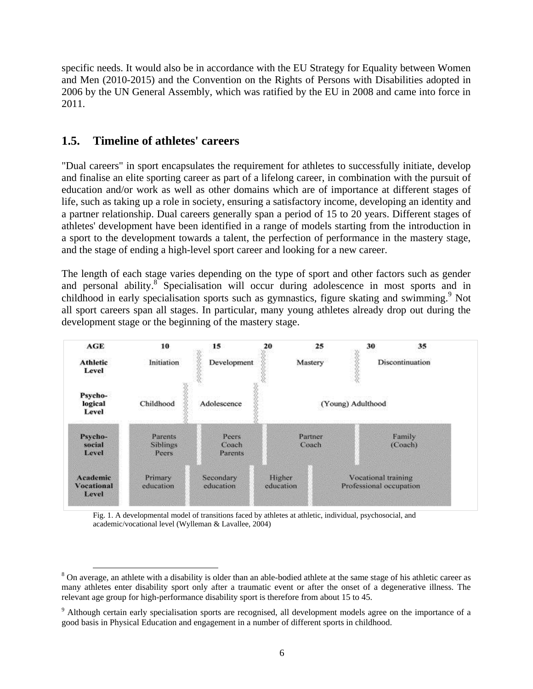specific needs. It would also be in accordance with the EU Strategy for Equality between Women and Men (2010-2015) and the Convention on the Rights of Persons with Disabilities adopted in 2006 by the UN General Assembly, which was ratified by the EU in 2008 and came into force in 2011.

# <span id="page-5-0"></span>**1.5. Timeline of athletes' careers**

"Dual careers" in sport encapsulates the requirement for athletes to successfully initiate, develop and finalise an elite sporting career as part of a lifelong career, in combination with the pursuit of education and/or work as well as other domains which are of importance at different stages of life, such as taking up a role in society, ensuring a satisfactory income, developing an identity and a partner relationship. Dual careers generally span a period of 15 to 20 years. Different stages of athletes' development have been identified in a range of models starting from the introduction in a sport to the development towards a talent, the perfection of performance in the mastery stage, and the stage of ending a high-level sport career and looking for a new career.

The length of each stage varies depending on the type of sport and other factors such as gender and personal ability.<sup>8</sup> Specialisation will occur during adolescence in most sports and in childhood in early specialisation sports such as gymnastics, figure skating and swimming.<sup>9</sup> Not all sport careers span all stages. In particular, many young athletes already drop out during the development stage or the beginning of the mastery stage.



Fig. 1. A developmental model of transitions faced by athletes at athletic, individual, psychosocial, and academic/vocational level (Wylleman & Lavallee, 2004)

<sup>&</sup>lt;sup>8</sup> On average, an athlete with a disability is older than an able-bodied athlete at the same stage of his athletic career as many athletes enter disability sport only after a traumatic event or after the onset of a degenerative illness. The relevant age group for high-performance disability sport is therefore from about 15 to 45.

<sup>&</sup>lt;sup>9</sup> Although certain early specialisation sports are recognised, all development models agree on the importance of a good basis in Physical Education and engagement in a number of different sports in childhood.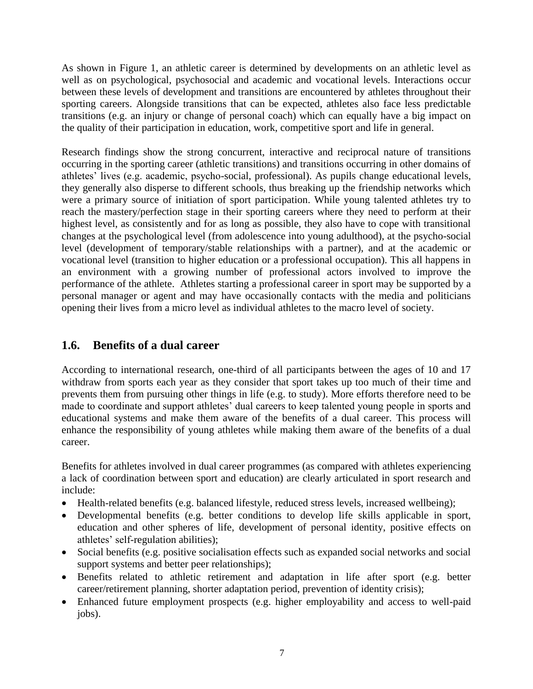As shown in Figure 1, an athletic career is determined by developments on an athletic level as well as on psychological, psychosocial and academic and vocational levels. Interactions occur between these levels of development and transitions are encountered by athletes throughout their sporting careers. Alongside transitions that can be expected, athletes also face less predictable transitions (e.g. an injury or change of personal coach) which can equally have a big impact on the quality of their participation in education, work, competitive sport and life in general.

Research findings show the strong concurrent, interactive and reciprocal nature of transitions occurring in the sporting career (athletic transitions) and transitions occurring in other domains of athletes' lives (e.g. academic, psycho-social, professional). As pupils change educational levels, they generally also disperse to different schools, thus breaking up the friendship networks which were a primary source of initiation of sport participation. While young talented athletes try to reach the mastery/perfection stage in their sporting careers where they need to perform at their highest level, as consistently and for as long as possible, they also have to cope with transitional changes at the psychological level (from adolescence into young adulthood), at the psycho-social level (development of temporary/stable relationships with a partner), and at the academic or vocational level (transition to higher education or a professional occupation). This all happens in an environment with a growing number of professional actors involved to improve the performance of the athlete. Athletes starting a professional career in sport may be supported by a personal manager or agent and may have occasionally contacts with the media and politicians opening their lives from a micro level as individual athletes to the macro level of society.

# <span id="page-6-0"></span>**1.6. Benefits of a dual career**

According to international research, one-third of all participants between the ages of 10 and 17 withdraw from sports each year as they consider that sport takes up too much of their time and prevents them from pursuing other things in life (e.g. to study). More efforts therefore need to be made to coordinate and support athletes' dual careers to keep talented young people in sports and educational systems and make them aware of the benefits of a dual career. This process will enhance the responsibility of young athletes while making them aware of the benefits of a dual career.

Benefits for athletes involved in dual career programmes (as compared with athletes experiencing a lack of coordination between sport and education) are clearly articulated in sport research and include:

- Health-related benefits (e.g. balanced lifestyle, reduced stress levels, increased wellbeing);
- Developmental benefits (e.g. better conditions to develop life skills applicable in sport, education and other spheres of life, development of personal identity, positive effects on athletes' self-regulation abilities);
- Social benefits (e.g. positive socialisation effects such as expanded social networks and social support systems and better peer relationships);
- Benefits related to athletic retirement and adaptation in life after sport (e.g. better career/retirement planning, shorter adaptation period, prevention of identity crisis);
- Enhanced future employment prospects (e.g. higher employability and access to well-paid jobs).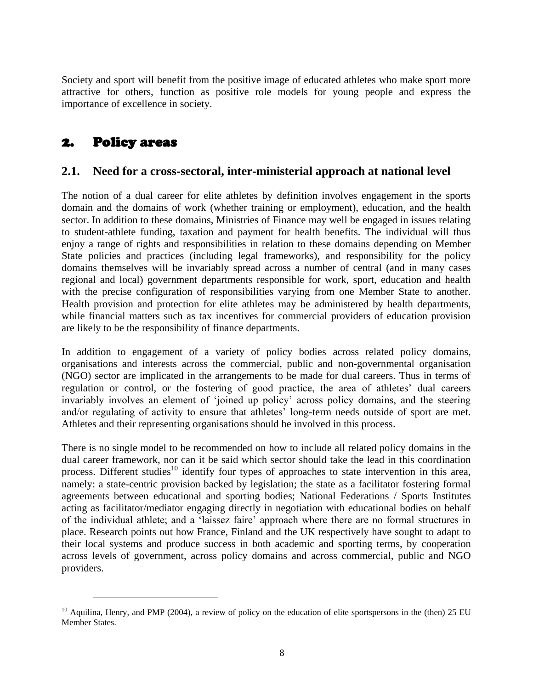Society and sport will benefit from the positive image of educated athletes who make sport more attractive for others, function as positive role models for young people and express the importance of excellence in society.

# <span id="page-7-0"></span>2. Policy areas

# <span id="page-7-1"></span>**2.1. Need for a cross-sectoral, inter-ministerial approach at national level**

The notion of a dual career for elite athletes by definition involves engagement in the sports domain and the domains of work (whether training or employment), education, and the health sector. In addition to these domains, Ministries of Finance may well be engaged in issues relating to student-athlete funding, taxation and payment for health benefits. The individual will thus enjoy a range of rights and responsibilities in relation to these domains depending on Member State policies and practices (including legal frameworks), and responsibility for the policy domains themselves will be invariably spread across a number of central (and in many cases regional and local) government departments responsible for work, sport, education and health with the precise configuration of responsibilities varying from one Member State to another. Health provision and protection for elite athletes may be administered by health departments, while financial matters such as tax incentives for commercial providers of education provision are likely to be the responsibility of finance departments.

In addition to engagement of a variety of policy bodies across related policy domains, organisations and interests across the commercial, public and non-governmental organisation (NGO) sector are implicated in the arrangements to be made for dual careers. Thus in terms of regulation or control, or the fostering of good practice, the area of athletes' dual careers invariably involves an element of 'joined up policy' across policy domains, and the steering and/or regulating of activity to ensure that athletes' long-term needs outside of sport are met. Athletes and their representing organisations should be involved in this process.

There is no single model to be recommended on how to include all related policy domains in the dual career framework, nor can it be said which sector should take the lead in this coordination process. Different studies<sup>10</sup> identify four types of approaches to state intervention in this area, namely: a state-centric provision backed by legislation; the state as a facilitator fostering formal agreements between educational and sporting bodies; National Federations / Sports Institutes acting as facilitator/mediator engaging directly in negotiation with educational bodies on behalf of the individual athlete; and a 'laissez faire' approach where there are no formal structures in place. Research points out how France, Finland and the UK respectively have sought to adapt to their local systems and produce success in both academic and sporting terms, by cooperation across levels of government, across policy domains and across commercial, public and NGO providers.

 $10$  Aquilina, Henry, and PMP (2004), a review of policy on the education of elite sportspersons in the (then) 25 EU Member States.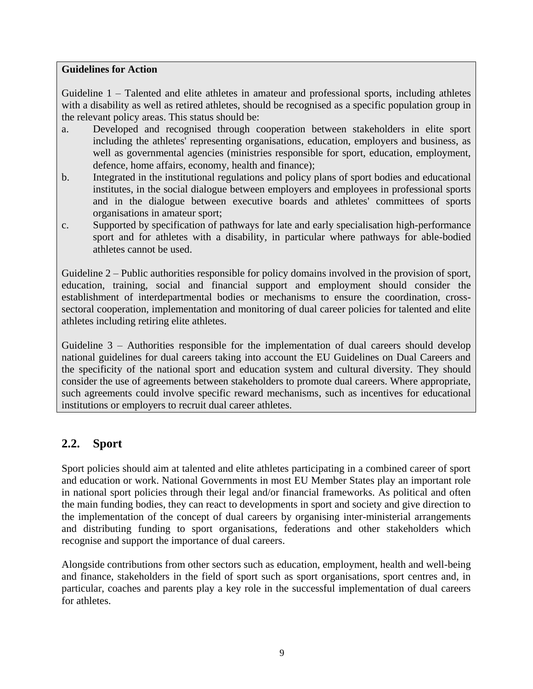#### **Guidelines for Action**

Guideline 1 – Talented and elite athletes in amateur and professional sports, including athletes with a disability as well as retired athletes, should be recognised as a specific population group in the relevant policy areas. This status should be:

- a. Developed and recognised through cooperation between stakeholders in elite sport including the athletes' representing organisations, education, employers and business, as well as governmental agencies (ministries responsible for sport, education, employment, defence, home affairs, economy, health and finance);
- b. Integrated in the institutional regulations and policy plans of sport bodies and educational institutes, in the social dialogue between employers and employees in professional sports and in the dialogue between executive boards and athletes' committees of sports organisations in amateur sport;
- c. Supported by specification of pathways for late and early specialisation high-performance sport and for athletes with a disability, in particular where pathways for able-bodied athletes cannot be used.

Guideline 2 – Public authorities responsible for policy domains involved in the provision of sport, education, training, social and financial support and employment should consider the establishment of interdepartmental bodies or mechanisms to ensure the coordination, crosssectoral cooperation, implementation and monitoring of dual career policies for talented and elite athletes including retiring elite athletes.

Guideline 3 – Authorities responsible for the implementation of dual careers should develop national guidelines for dual careers taking into account the EU Guidelines on Dual Careers and the specificity of the national sport and education system and cultural diversity. They should consider the use of agreements between stakeholders to promote dual careers. Where appropriate, such agreements could involve specific reward mechanisms, such as incentives for educational institutions or employers to recruit dual career athletes.

# <span id="page-8-0"></span>**2.2. Sport**

Sport policies should aim at talented and elite athletes participating in a combined career of sport and education or work. National Governments in most EU Member States play an important role in national sport policies through their legal and/or financial frameworks. As political and often the main funding bodies, they can react to developments in sport and society and give direction to the implementation of the concept of dual careers by organising inter-ministerial arrangements and distributing funding to sport organisations, federations and other stakeholders which recognise and support the importance of dual careers.

Alongside contributions from other sectors such as education, employment, health and well-being and finance, stakeholders in the field of sport such as sport organisations, sport centres and, in particular, coaches and parents play a key role in the successful implementation of dual careers for athletes.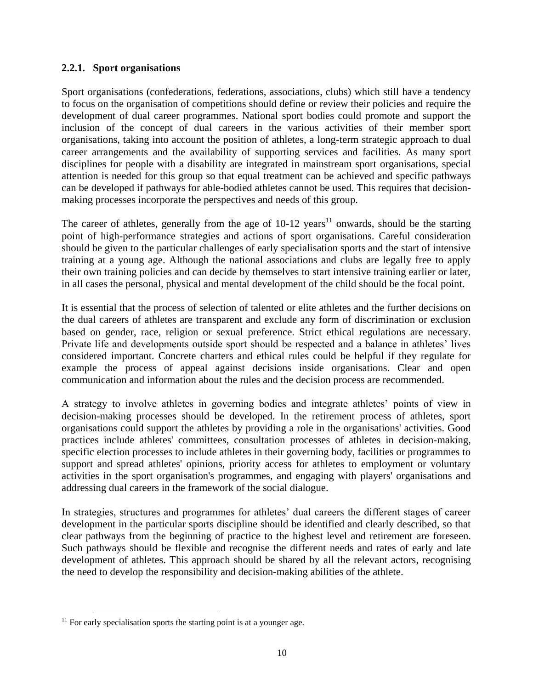#### <span id="page-9-0"></span>**2.2.1. Sport organisations**

Sport organisations (confederations, federations, associations, clubs) which still have a tendency to focus on the organisation of competitions should define or review their policies and require the development of dual career programmes. National sport bodies could promote and support the inclusion of the concept of dual careers in the various activities of their member sport organisations, taking into account the position of athletes, a long-term strategic approach to dual career arrangements and the availability of supporting services and facilities. As many sport disciplines for people with a disability are integrated in mainstream sport organisations, special attention is needed for this group so that equal treatment can be achieved and specific pathways can be developed if pathways for able-bodied athletes cannot be used. This requires that decisionmaking processes incorporate the perspectives and needs of this group.

The career of athletes, generally from the age of  $10-12$  years<sup>11</sup> onwards, should be the starting point of high-performance strategies and actions of sport organisations. Careful consideration should be given to the particular challenges of early specialisation sports and the start of intensive training at a young age. Although the national associations and clubs are legally free to apply their own training policies and can decide by themselves to start intensive training earlier or later, in all cases the personal, physical and mental development of the child should be the focal point.

It is essential that the process of selection of talented or elite athletes and the further decisions on the dual careers of athletes are transparent and exclude any form of discrimination or exclusion based on gender, race, religion or sexual preference. Strict ethical regulations are necessary. Private life and developments outside sport should be respected and a balance in athletes' lives considered important. Concrete charters and ethical rules could be helpful if they regulate for example the process of appeal against decisions inside organisations. Clear and open communication and information about the rules and the decision process are recommended.

A strategy to involve athletes in governing bodies and integrate athletes' points of view in decision-making processes should be developed. In the retirement process of athletes, sport organisations could support the athletes by providing a role in the organisations' activities. Good practices include athletes' committees, consultation processes of athletes in decision-making, specific election processes to include athletes in their governing body, facilities or programmes to support and spread athletes' opinions, priority access for athletes to employment or voluntary activities in the sport organisation's programmes, and engaging with players' organisations and addressing dual careers in the framework of the social dialogue.

In strategies, structures and programmes for athletes' dual careers the different stages of career development in the particular sports discipline should be identified and clearly described, so that clear pathways from the beginning of practice to the highest level and retirement are foreseen. Such pathways should be flexible and recognise the different needs and rates of early and late development of athletes. This approach should be shared by all the relevant actors, recognising the need to develop the responsibility and decision-making abilities of the athlete.

 $11$  For early specialisation sports the starting point is at a younger age.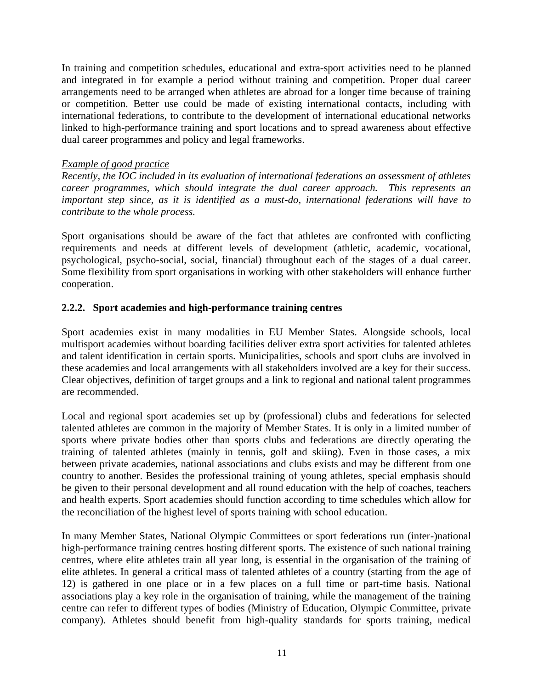In training and competition schedules, educational and extra-sport activities need to be planned and integrated in for example a period without training and competition. Proper dual career arrangements need to be arranged when athletes are abroad for a longer time because of training or competition. Better use could be made of existing international contacts, including with international federations, to contribute to the development of international educational networks linked to high-performance training and sport locations and to spread awareness about effective dual career programmes and policy and legal frameworks.

#### *Example of good practice*

*Recently, the IOC included in its evaluation of international federations an assessment of athletes career programmes, which should integrate the dual career approach. This represents an important step since, as it is identified as a must-do, international federations will have to contribute to the whole process.*

Sport organisations should be aware of the fact that athletes are confronted with conflicting requirements and needs at different levels of development (athletic, academic, vocational, psychological, psycho-social, social, financial) throughout each of the stages of a dual career. Some flexibility from sport organisations in working with other stakeholders will enhance further cooperation.

#### <span id="page-10-0"></span>**2.2.2. Sport academies and high-performance training centres**

Sport academies exist in many modalities in EU Member States. Alongside schools, local multisport academies without boarding facilities deliver extra sport activities for talented athletes and talent identification in certain sports. Municipalities, schools and sport clubs are involved in these academies and local arrangements with all stakeholders involved are a key for their success. Clear objectives, definition of target groups and a link to regional and national talent programmes are recommended.

Local and regional sport academies set up by (professional) clubs and federations for selected talented athletes are common in the majority of Member States. It is only in a limited number of sports where private bodies other than sports clubs and federations are directly operating the training of talented athletes (mainly in tennis, golf and skiing). Even in those cases, a mix between private academies, national associations and clubs exists and may be different from one country to another. Besides the professional training of young athletes, special emphasis should be given to their personal development and all round education with the help of coaches, teachers and health experts. Sport academies should function according to time schedules which allow for the reconciliation of the highest level of sports training with school education.

In many Member States, National Olympic Committees or sport federations run (inter-)national high-performance training centres hosting different sports. The existence of such national training centres, where elite athletes train all year long, is essential in the organisation of the training of elite athletes. In general a critical mass of talented athletes of a country (starting from the age of 12) is gathered in one place or in a few places on a full time or part-time basis. National associations play a key role in the organisation of training, while the management of the training centre can refer to different types of bodies (Ministry of Education, Olympic Committee, private company). Athletes should benefit from high-quality standards for sports training, medical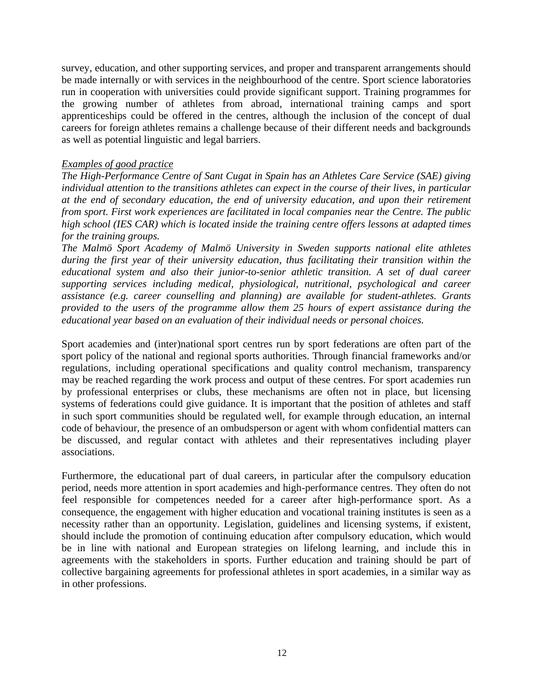survey, education, and other supporting services, and proper and transparent arrangements should be made internally or with services in the neighbourhood of the centre. Sport science laboratories run in cooperation with universities could provide significant support. Training programmes for the growing number of athletes from abroad, international training camps and sport apprenticeships could be offered in the centres, although the inclusion of the concept of dual careers for foreign athletes remains a challenge because of their different needs and backgrounds as well as potential linguistic and legal barriers.

#### *Examples of good practice*

*The High-Performance Centre of Sant Cugat in Spain has an Athletes Care Service (SAE) giving individual attention to the transitions athletes can expect in the course of their lives, in particular at the end of secondary education, the end of university education, and upon their retirement from sport. First work experiences are facilitated in local companies near the Centre. The public high school (IES CAR) which is located inside the training centre offers lessons at adapted times for the training groups.*

*The Malmö Sport Academy of Malmö University in Sweden supports national elite athletes during the first year of their university education, thus facilitating their transition within the educational system and also their junior-to-senior athletic transition. A set of dual career supporting services including medical, physiological, nutritional, psychological and career assistance (e.g. career counselling and planning) are available for student-athletes. Grants provided to the users of the programme allow them 25 hours of expert assistance during the educational year based on an evaluation of their individual needs or personal choices.*

Sport academies and (inter)national sport centres run by sport federations are often part of the sport policy of the national and regional sports authorities. Through financial frameworks and/or regulations, including operational specifications and quality control mechanism, transparency may be reached regarding the work process and output of these centres. For sport academies run by professional enterprises or clubs, these mechanisms are often not in place, but licensing systems of federations could give guidance. It is important that the position of athletes and staff in such sport communities should be regulated well, for example through education, an internal code of behaviour, the presence of an ombudsperson or agent with whom confidential matters can be discussed, and regular contact with athletes and their representatives including player associations.

Furthermore, the educational part of dual careers, in particular after the compulsory education period, needs more attention in sport academies and high-performance centres. They often do not feel responsible for competences needed for a career after high-performance sport. As a consequence, the engagement with higher education and vocational training institutes is seen as a necessity rather than an opportunity. Legislation, guidelines and licensing systems, if existent, should include the promotion of continuing education after compulsory education, which would be in line with national and European strategies on lifelong learning, and include this in agreements with the stakeholders in sports. Further education and training should be part of collective bargaining agreements for professional athletes in sport academies, in a similar way as in other professions.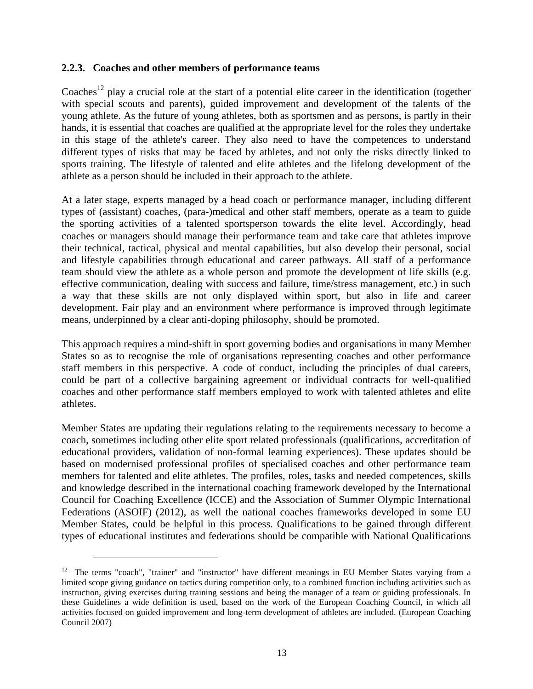#### <span id="page-12-0"></span>**2.2.3. Coaches and other members of performance teams**

Coaches<sup>12</sup> play a crucial role at the start of a potential elite career in the identification (together with special scouts and parents), guided improvement and development of the talents of the young athlete. As the future of young athletes, both as sportsmen and as persons, is partly in their hands, it is essential that coaches are qualified at the appropriate level for the roles they undertake in this stage of the athlete's career. They also need to have the competences to understand different types of risks that may be faced by athletes, and not only the risks directly linked to sports training. The lifestyle of talented and elite athletes and the lifelong development of the athlete as a person should be included in their approach to the athlete.

At a later stage, experts managed by a head coach or performance manager, including different types of (assistant) coaches, (para-)medical and other staff members, operate as a team to guide the sporting activities of a talented sportsperson towards the elite level. Accordingly, head coaches or managers should manage their performance team and take care that athletes improve their technical, tactical, physical and mental capabilities, but also develop their personal, social and lifestyle capabilities through educational and career pathways. All staff of a performance team should view the athlete as a whole person and promote the development of life skills (e.g. effective communication, dealing with success and failure, time/stress management, etc.) in such a way that these skills are not only displayed within sport, but also in life and career development. Fair play and an environment where performance is improved through legitimate means, underpinned by a clear anti-doping philosophy, should be promoted.

This approach requires a mind-shift in sport governing bodies and organisations in many Member States so as to recognise the role of organisations representing coaches and other performance staff members in this perspective. A code of conduct, including the principles of dual careers, could be part of a collective bargaining agreement or individual contracts for well-qualified coaches and other performance staff members employed to work with talented athletes and elite athletes.

Member States are updating their regulations relating to the requirements necessary to become a coach, sometimes including other elite sport related professionals (qualifications, accreditation of educational providers, validation of non-formal learning experiences). These updates should be based on modernised professional profiles of specialised coaches and other performance team members for talented and elite athletes. The profiles, roles, tasks and needed competences, skills and knowledge described in the international coaching framework developed by the International Council for Coaching Excellence (ICCE) and the Association of Summer Olympic International Federations (ASOIF) (2012), as well the national coaches frameworks developed in some EU Member States, could be helpful in this process. Qualifications to be gained through different types of educational institutes and federations should be compatible with National Qualifications

 $\overline{a}$ 

<sup>&</sup>lt;sup>12</sup> The terms "coach", "trainer" and "instructor" have different meanings in EU Member States varying from a limited scope giving guidance on tactics during competition only, to a combined function including activities such as instruction, giving exercises during training sessions and being the manager of a team or guiding professionals. In these Guidelines a wide definition is used, based on the work of the European Coaching Council, in which all activities focused on guided improvement and long-term development of athletes are included. (European Coaching Council 2007)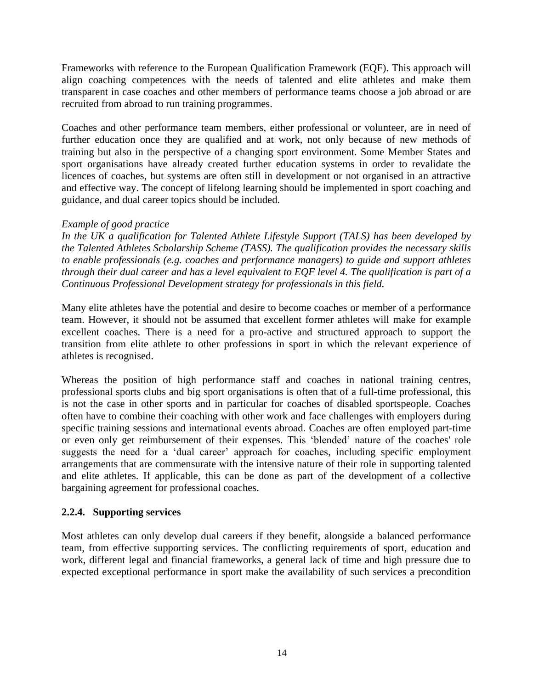Frameworks with reference to the European Qualification Framework (EQF). This approach will align coaching competences with the needs of talented and elite athletes and make them transparent in case coaches and other members of performance teams choose a job abroad or are recruited from abroad to run training programmes.

Coaches and other performance team members, either professional or volunteer, are in need of further education once they are qualified and at work, not only because of new methods of training but also in the perspective of a changing sport environment. Some Member States and sport organisations have already created further education systems in order to revalidate the licences of coaches, but systems are often still in development or not organised in an attractive and effective way. The concept of lifelong learning should be implemented in sport coaching and guidance, and dual career topics should be included.

#### *Example of good practice*

*In the UK a qualification for Talented Athlete Lifestyle Support (TALS) has been developed by the Talented Athletes Scholarship Scheme (TASS). The qualification provides the necessary skills to enable professionals (e.g. coaches and performance managers) to guide and support athletes through their dual career and has a level equivalent to EQF level 4. The qualification is part of a Continuous Professional Development strategy for professionals in this field.*

Many elite athletes have the potential and desire to become coaches or member of a performance team. However, it should not be assumed that excellent former athletes will make for example excellent coaches. There is a need for a pro-active and structured approach to support the transition from elite athlete to other professions in sport in which the relevant experience of athletes is recognised.

Whereas the position of high performance staff and coaches in national training centres, professional sports clubs and big sport organisations is often that of a full-time professional, this is not the case in other sports and in particular for coaches of disabled sportspeople. Coaches often have to combine their coaching with other work and face challenges with employers during specific training sessions and international events abroad. Coaches are often employed part-time or even only get reimbursement of their expenses. This 'blended' nature of the coaches' role suggests the need for a 'dual career' approach for coaches, including specific employment arrangements that are commensurate with the intensive nature of their role in supporting talented and elite athletes. If applicable, this can be done as part of the development of a collective bargaining agreement for professional coaches.

#### <span id="page-13-0"></span>**2.2.4. Supporting services**

Most athletes can only develop dual careers if they benefit, alongside a balanced performance team, from effective supporting services. The conflicting requirements of sport, education and work, different legal and financial frameworks, a general lack of time and high pressure due to expected exceptional performance in sport make the availability of such services a precondition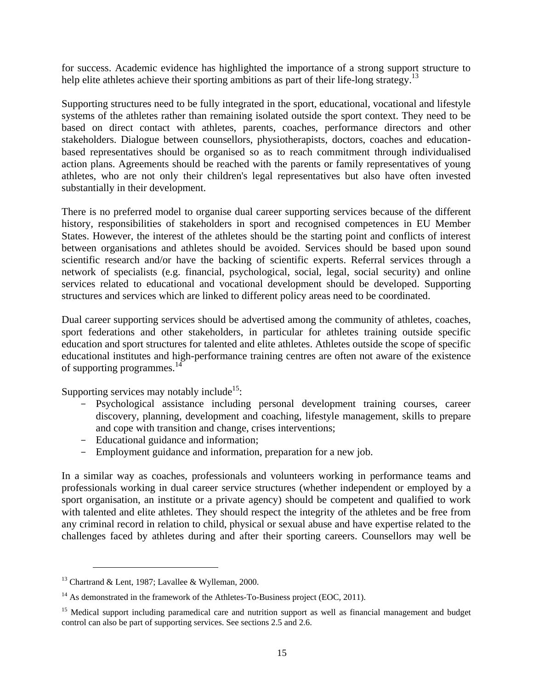for success. Academic evidence has highlighted the importance of a strong support structure to help elite athletes achieve their sporting ambitions as part of their life-long strategy.<sup>13</sup>

Supporting structures need to be fully integrated in the sport, educational, vocational and lifestyle systems of the athletes rather than remaining isolated outside the sport context. They need to be based on direct contact with athletes, parents, coaches, performance directors and other stakeholders. Dialogue between counsellors, physiotherapists, doctors, coaches and educationbased representatives should be organised so as to reach commitment through individualised action plans. Agreements should be reached with the parents or family representatives of young athletes, who are not only their children's legal representatives but also have often invested substantially in their development.

There is no preferred model to organise dual career supporting services because of the different history, responsibilities of stakeholders in sport and recognised competences in EU Member States. However, the interest of the athletes should be the starting point and conflicts of interest between organisations and athletes should be avoided. Services should be based upon sound scientific research and/or have the backing of scientific experts. Referral services through a network of specialists (e.g. financial, psychological, social, legal, social security) and online services related to educational and vocational development should be developed. Supporting structures and services which are linked to different policy areas need to be coordinated.

Dual career supporting services should be advertised among the community of athletes, coaches, sport federations and other stakeholders, in particular for athletes training outside specific education and sport structures for talented and elite athletes. Athletes outside the scope of specific educational institutes and high-performance training centres are often not aware of the existence of supporting programmes.<sup>14</sup>

Supporting services may notably include<sup>15</sup>:

- Psychological assistance including personal development training courses, career discovery, planning, development and coaching, lifestyle management, skills to prepare and cope with transition and change, crises interventions;
- Educational guidance and information;
- Employment guidance and information, preparation for a new job.

In a similar way as coaches, professionals and volunteers working in performance teams and professionals working in dual career service structures (whether independent or employed by a sport organisation, an institute or a private agency) should be competent and qualified to work with talented and elite athletes. They should respect the integrity of the athletes and be free from any criminal record in relation to child, physical or sexual abuse and have expertise related to the challenges faced by athletes during and after their sporting careers. Counsellors may well be

 $13$  Chartrand & Lent, 1987; Lavallee & Wylleman, 2000.

<sup>&</sup>lt;sup>14</sup> As demonstrated in the framework of the Athletes-To-Business project (EOC, 2011).

<sup>&</sup>lt;sup>15</sup> Medical support including paramedical care and nutrition support as well as financial management and budget control can also be part of supporting services. See sections 2.5 and 2.6.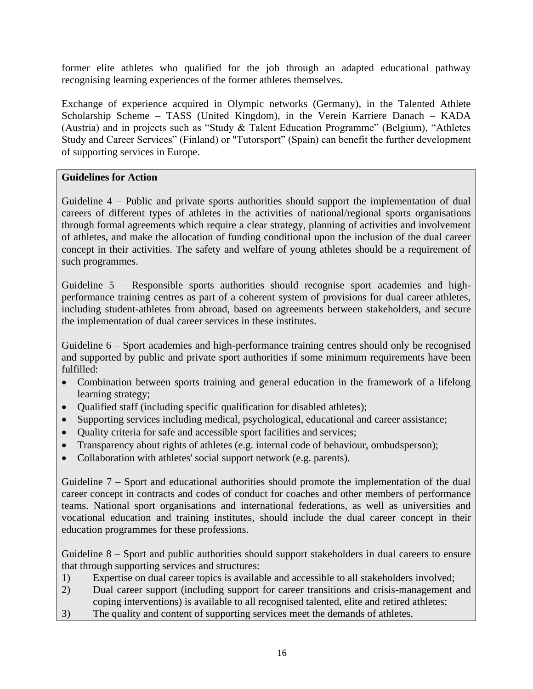former elite athletes who qualified for the job through an adapted educational pathway recognising learning experiences of the former athletes themselves.

Exchange of experience acquired in Olympic networks (Germany), in the Talented Athlete Scholarship Scheme – TASS (United Kingdom), in the Verein Karriere Danach – KADA (Austria) and in projects such as "Study & Talent Education Programme" (Belgium), "Athletes Study and Career Services" (Finland) or "Tutorsport" (Spain) can benefit the further development of supporting services in Europe.

#### **Guidelines for Action**

Guideline 4 – Public and private sports authorities should support the implementation of dual careers of different types of athletes in the activities of national/regional sports organisations through formal agreements which require a clear strategy, planning of activities and involvement of athletes, and make the allocation of funding conditional upon the inclusion of the dual career concept in their activities. The safety and welfare of young athletes should be a requirement of such programmes.

Guideline 5 – Responsible sports authorities should recognise sport academies and highperformance training centres as part of a coherent system of provisions for dual career athletes, including student-athletes from abroad, based on agreements between stakeholders, and secure the implementation of dual career services in these institutes.

Guideline 6 – Sport academies and high-performance training centres should only be recognised and supported by public and private sport authorities if some minimum requirements have been fulfilled:

- Combination between sports training and general education in the framework of a lifelong learning strategy;
- Qualified staff (including specific qualification for disabled athletes);
- Supporting services including medical, psychological, educational and career assistance;
- Quality criteria for safe and accessible sport facilities and services;
- Transparency about rights of athletes (e.g. internal code of behaviour, ombudsperson);
- Collaboration with athletes' social support network (e.g. parents).

Guideline 7 – Sport and educational authorities should promote the implementation of the dual career concept in contracts and codes of conduct for coaches and other members of performance teams. National sport organisations and international federations, as well as universities and vocational education and training institutes, should include the dual career concept in their education programmes for these professions.

Guideline 8 – Sport and public authorities should support stakeholders in dual careers to ensure that through supporting services and structures:

- 1) Expertise on dual career topics is available and accessible to all stakeholders involved;
- 2) Dual career support (including support for career transitions and crisis-management and coping interventions) is available to all recognised talented, elite and retired athletes;
- 3) The quality and content of supporting services meet the demands of athletes.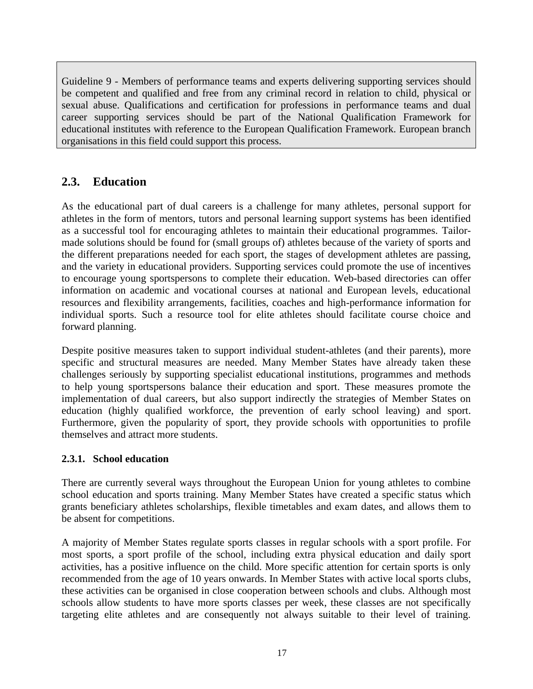Guideline 9 - Members of performance teams and experts delivering supporting services should be competent and qualified and free from any criminal record in relation to child, physical or sexual abuse. Qualifications and certification for professions in performance teams and dual career supporting services should be part of the National Qualification Framework for educational institutes with reference to the European Qualification Framework. European branch organisations in this field could support this process.

# <span id="page-16-0"></span>**2.3. Education**

As the educational part of dual careers is a challenge for many athletes, personal support for athletes in the form of mentors, tutors and personal learning support systems has been identified as a successful tool for encouraging athletes to maintain their educational programmes. Tailormade solutions should be found for (small groups of) athletes because of the variety of sports and the different preparations needed for each sport, the stages of development athletes are passing, and the variety in educational providers. Supporting services could promote the use of incentives to encourage young sportspersons to complete their education. Web-based directories can offer information on academic and vocational courses at national and European levels, educational resources and flexibility arrangements, facilities, coaches and high-performance information for individual sports. Such a resource tool for elite athletes should facilitate course choice and forward planning.

Despite positive measures taken to support individual student-athletes (and their parents), more specific and structural measures are needed. Many Member States have already taken these challenges seriously by supporting specialist educational institutions, programmes and methods to help young sportspersons balance their education and sport. These measures promote the implementation of dual careers, but also support indirectly the strategies of Member States on education (highly qualified workforce, the prevention of early school leaving) and sport. Furthermore, given the popularity of sport, they provide schools with opportunities to profile themselves and attract more students.

#### <span id="page-16-1"></span>**2.3.1. School education**

There are currently several ways throughout the European Union for young athletes to combine school education and sports training. Many Member States have created a specific status which grants beneficiary athletes scholarships, flexible timetables and exam dates, and allows them to be absent for competitions.

A majority of Member States regulate sports classes in regular schools with a sport profile. For most sports, a sport profile of the school, including extra physical education and daily sport activities, has a positive influence on the child. More specific attention for certain sports is only recommended from the age of 10 years onwards. In Member States with active local sports clubs, these activities can be organised in close cooperation between schools and clubs. Although most schools allow students to have more sports classes per week, these classes are not specifically targeting elite athletes and are consequently not always suitable to their level of training.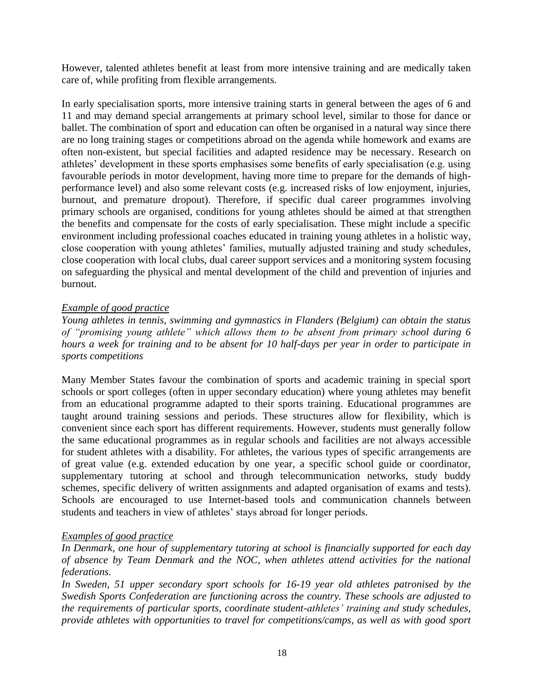However, talented athletes benefit at least from more intensive training and are medically taken care of, while profiting from flexible arrangements.

In early specialisation sports, more intensive training starts in general between the ages of 6 and 11 and may demand special arrangements at primary school level, similar to those for dance or ballet. The combination of sport and education can often be organised in a natural way since there are no long training stages or competitions abroad on the agenda while homework and exams are often non-existent, but special facilities and adapted residence may be necessary. Research on athletes' development in these sports emphasises some benefits of early specialisation (e.g. using favourable periods in motor development, having more time to prepare for the demands of highperformance level) and also some relevant costs (e.g. increased risks of low enjoyment, injuries, burnout, and premature dropout). Therefore, if specific dual career programmes involving primary schools are organised, conditions for young athletes should be aimed at that strengthen the benefits and compensate for the costs of early specialisation. These might include a specific environment including professional coaches educated in training young athletes in a holistic way, close cooperation with young athletes' families, mutually adjusted training and study schedules, close cooperation with local clubs, dual career support services and a monitoring system focusing on safeguarding the physical and mental development of the child and prevention of injuries and burnout.

#### *Example of good practice*

*Young athletes in tennis, swimming and gymnastics in Flanders (Belgium) can obtain the status of "promising young athlete" which allows them to be absent from primary school during 6 hours a week for training and to be absent for 10 half-days per year in order to participate in sports competitions*

Many Member States favour the combination of sports and academic training in special sport schools or sport colleges (often in upper secondary education) where young athletes may benefit from an educational programme adapted to their sports training. Educational programmes are taught around training sessions and periods. These structures allow for flexibility, which is convenient since each sport has different requirements. However, students must generally follow the same educational programmes as in regular schools and facilities are not always accessible for student athletes with a disability. For athletes, the various types of specific arrangements are of great value (e.g. extended education by one year, a specific school guide or coordinator, supplementary tutoring at school and through telecommunication networks, study buddy schemes, specific delivery of written assignments and adapted organisation of exams and tests). Schools are encouraged to use Internet-based tools and communication channels between students and teachers in view of athletes' stays abroad for longer periods.

# *Examples of good practice*

*In Denmark, one hour of supplementary tutoring at school is financially supported for each day of absence by Team Denmark and the NOC, when athletes attend activities for the national federations.*

*In Sweden, 51 upper secondary sport schools for 16-19 year old athletes patronised by the Swedish Sports Confederation are functioning across the country. These schools are adjusted to the requirements of particular sports, coordinate student-athletes' training and study schedules, provide athletes with opportunities to travel for competitions/camps, as well as with good sport*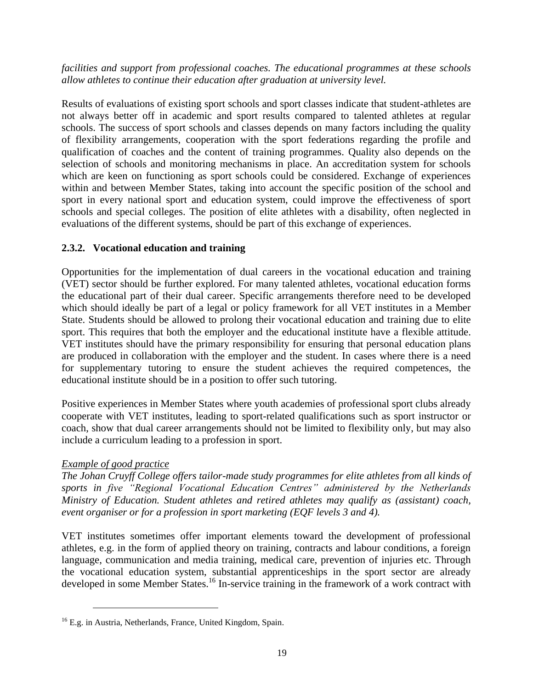*facilities and support from professional coaches. The educational programmes at these schools allow athletes to continue their education after graduation at university level.*

Results of evaluations of existing sport schools and sport classes indicate that student-athletes are not always better off in academic and sport results compared to talented athletes at regular schools. The success of sport schools and classes depends on many factors including the quality of flexibility arrangements, cooperation with the sport federations regarding the profile and qualification of coaches and the content of training programmes. Quality also depends on the selection of schools and monitoring mechanisms in place. An accreditation system for schools which are keen on functioning as sport schools could be considered. Exchange of experiences within and between Member States, taking into account the specific position of the school and sport in every national sport and education system, could improve the effectiveness of sport schools and special colleges. The position of elite athletes with a disability, often neglected in evaluations of the different systems, should be part of this exchange of experiences.

#### <span id="page-18-0"></span>**2.3.2. Vocational education and training**

Opportunities for the implementation of dual careers in the vocational education and training (VET) sector should be further explored. For many talented athletes, vocational education forms the educational part of their dual career. Specific arrangements therefore need to be developed which should ideally be part of a legal or policy framework for all VET institutes in a Member State. Students should be allowed to prolong their vocational education and training due to elite sport. This requires that both the employer and the educational institute have a flexible attitude. VET institutes should have the primary responsibility for ensuring that personal education plans are produced in collaboration with the employer and the student. In cases where there is a need for supplementary tutoring to ensure the student achieves the required competences, the educational institute should be in a position to offer such tutoring.

Positive experiences in Member States where youth academies of professional sport clubs already cooperate with VET institutes, leading to sport-related qualifications such as sport instructor or coach, show that dual career arrangements should not be limited to flexibility only, but may also include a curriculum leading to a profession in sport.

# *Example of good practice*

*The Johan Cruyff College offers tailor-made study programmes for elite athletes from all kinds of sports in five "Regional Vocational Education Centres" administered by the Netherlands Ministry of Education. Student athletes and retired athletes may qualify as (assistant) coach, event organiser or for a profession in sport marketing (EQF levels 3 and 4).*

VET institutes sometimes offer important elements toward the development of professional athletes, e.g. in the form of applied theory on training, contracts and labour conditions, a foreign language, communication and media training, medical care, prevention of injuries etc. Through the vocational education system, substantial apprenticeships in the sport sector are already developed in some Member States.<sup>16</sup> In-service training in the framework of a work contract with

<sup>&</sup>lt;sup>16</sup> E.g. in Austria, Netherlands, France, United Kingdom, Spain.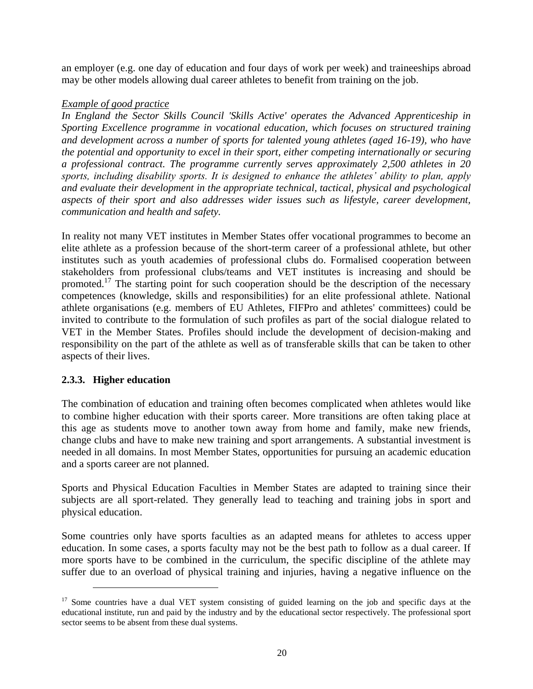an employer (e.g. one day of education and four days of work per week) and traineeships abroad may be other models allowing dual career athletes to benefit from training on the job.

#### *Example of good practice*

*In England the Sector Skills Council 'Skills Active' operates the Advanced Apprenticeship in Sporting Excellence programme in vocational education, which focuses on structured training and development across a number of sports for talented young athletes (aged 16-19), who have the potential and opportunity to excel in their sport, either competing internationally or securing a professional contract. The programme currently serves approximately 2,500 athletes in 20 sports, including disability sports. It is designed to enhance the athletes' ability to plan, apply and evaluate their development in the appropriate technical, tactical, physical and psychological aspects of their sport and also addresses wider issues such as lifestyle, career development, communication and health and safety.*

In reality not many VET institutes in Member States offer vocational programmes to become an elite athlete as a profession because of the short-term career of a professional athlete, but other institutes such as youth academies of professional clubs do. Formalised cooperation between stakeholders from professional clubs/teams and VET institutes is increasing and should be promoted.<sup>17</sup> The starting point for such cooperation should be the description of the necessary competences (knowledge, skills and responsibilities) for an elite professional athlete. National athlete organisations (e.g. members of EU Athletes, FIFPro and athletes' committees) could be invited to contribute to the formulation of such profiles as part of the social dialogue related to VET in the Member States. Profiles should include the development of decision-making and responsibility on the part of the athlete as well as of transferable skills that can be taken to other aspects of their lives.

# <span id="page-19-0"></span>**2.3.3. Higher education**

 $\overline{a}$ 

The combination of education and training often becomes complicated when athletes would like to combine higher education with their sports career. More transitions are often taking place at this age as students move to another town away from home and family, make new friends, change clubs and have to make new training and sport arrangements. A substantial investment is needed in all domains. In most Member States, opportunities for pursuing an academic education and a sports career are not planned.

Sports and Physical Education Faculties in Member States are adapted to training since their subjects are all sport-related. They generally lead to teaching and training jobs in sport and physical education.

Some countries only have sports faculties as an adapted means for athletes to access upper education. In some cases, a sports faculty may not be the best path to follow as a dual career. If more sports have to be combined in the curriculum, the specific discipline of the athlete may suffer due to an overload of physical training and injuries, having a negative influence on the

 $17$  Some countries have a dual VET system consisting of guided learning on the job and specific days at the educational institute, run and paid by the industry and by the educational sector respectively. The professional sport sector seems to be absent from these dual systems.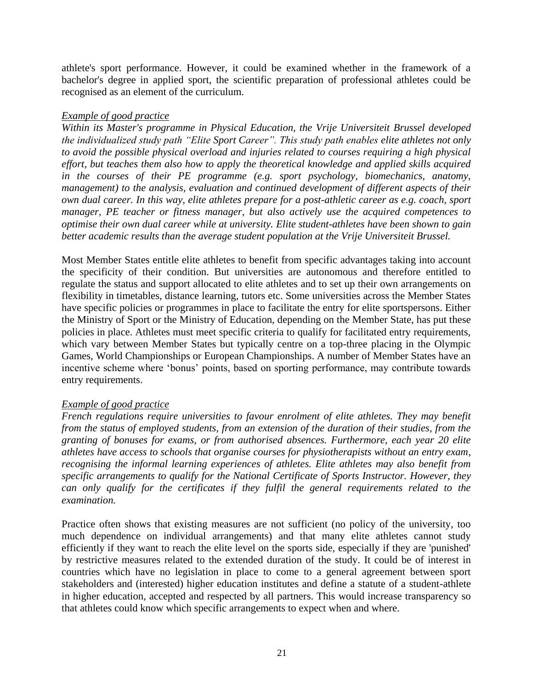athlete's sport performance. However, it could be examined whether in the framework of a bachelor's degree in applied sport, the scientific preparation of professional athletes could be recognised as an element of the curriculum.

#### *Example of good practice*

*Within its Master's programme in Physical Education, the Vrije Universiteit Brussel developed the individualized study path "Elite Sport Career". This study path enables elite athletes not only to avoid the possible physical overload and injuries related to courses requiring a high physical effort, but teaches them also how to apply the theoretical knowledge and applied skills acquired in the courses of their PE programme (e.g. sport psychology, biomechanics, anatomy, management) to the analysis, evaluation and continued development of different aspects of their own dual career. In this way, elite athletes prepare for a post-athletic career as e.g. coach, sport manager, PE teacher or fitness manager, but also actively use the acquired competences to optimise their own dual career while at university. Elite student-athletes have been shown to gain better academic results than the average student population at the Vrije Universiteit Brussel.*

Most Member States entitle elite athletes to benefit from specific advantages taking into account the specificity of their condition. But universities are autonomous and therefore entitled to regulate the status and support allocated to elite athletes and to set up their own arrangements on flexibility in timetables, distance learning, tutors etc. Some universities across the Member States have specific policies or programmes in place to facilitate the entry for elite sportspersons. Either the Ministry of Sport or the Ministry of Education, depending on the Member State, has put these policies in place. Athletes must meet specific criteria to qualify for facilitated entry requirements, which vary between Member States but typically centre on a top-three placing in the Olympic Games, World Championships or European Championships. A number of Member States have an incentive scheme where 'bonus' points, based on sporting performance, may contribute towards entry requirements.

#### *Example of good practice*

*French regulations require universities to favour enrolment of elite athletes. They may benefit from the status of employed students, from an extension of the duration of their studies, from the granting of bonuses for exams, or from authorised absences. Furthermore, each year 20 elite athletes have access to schools that organise courses for physiotherapists without an entry exam, recognising the informal learning experiences of athletes. Elite athletes may also benefit from specific arrangements to qualify for the National Certificate of Sports Instructor. However, they can only qualify for the certificates if they fulfil the general requirements related to the examination.*

Practice often shows that existing measures are not sufficient (no policy of the university, too much dependence on individual arrangements) and that many elite athletes cannot study efficiently if they want to reach the elite level on the sports side, especially if they are 'punished' by restrictive measures related to the extended duration of the study. It could be of interest in countries which have no legislation in place to come to a general agreement between sport stakeholders and (interested) higher education institutes and define a statute of a student-athlete in higher education, accepted and respected by all partners. This would increase transparency so that athletes could know which specific arrangements to expect when and where.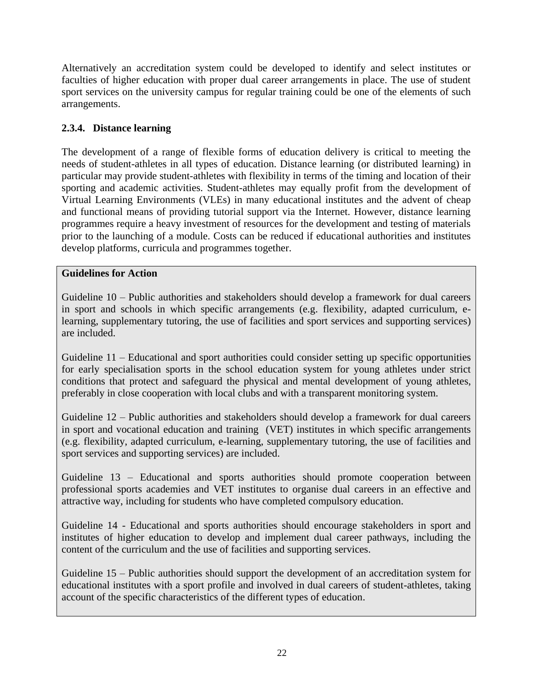Alternatively an accreditation system could be developed to identify and select institutes or faculties of higher education with proper dual career arrangements in place. The use of student sport services on the university campus for regular training could be one of the elements of such arrangements.

# <span id="page-21-0"></span>**2.3.4. Distance learning**

The development of a range of flexible forms of education delivery is critical to meeting the needs of student-athletes in all types of education. Distance learning (or distributed learning) in particular may provide student-athletes with flexibility in terms of the timing and location of their sporting and academic activities. Student-athletes may equally profit from the development of Virtual Learning Environments (VLEs) in many educational institutes and the advent of cheap and functional means of providing tutorial support via the Internet. However, distance learning programmes require a heavy investment of resources for the development and testing of materials prior to the launching of a module. Costs can be reduced if educational authorities and institutes develop platforms, curricula and programmes together.

#### **Guidelines for Action**

Guideline 10 – Public authorities and stakeholders should develop a framework for dual careers in sport and schools in which specific arrangements (e.g. flexibility, adapted curriculum, elearning, supplementary tutoring, the use of facilities and sport services and supporting services) are included.

Guideline 11 – Educational and sport authorities could consider setting up specific opportunities for early specialisation sports in the school education system for young athletes under strict conditions that protect and safeguard the physical and mental development of young athletes, preferably in close cooperation with local clubs and with a transparent monitoring system.

Guideline 12 – Public authorities and stakeholders should develop a framework for dual careers in sport and vocational education and training (VET) institutes in which specific arrangements (e.g. flexibility, adapted curriculum, e-learning, supplementary tutoring, the use of facilities and sport services and supporting services) are included.

Guideline 13 – Educational and sports authorities should promote cooperation between professional sports academies and VET institutes to organise dual careers in an effective and attractive way, including for students who have completed compulsory education.

Guideline 14 - Educational and sports authorities should encourage stakeholders in sport and institutes of higher education to develop and implement dual career pathways, including the content of the curriculum and the use of facilities and supporting services.

Guideline 15 – Public authorities should support the development of an accreditation system for educational institutes with a sport profile and involved in dual careers of student-athletes, taking account of the specific characteristics of the different types of education.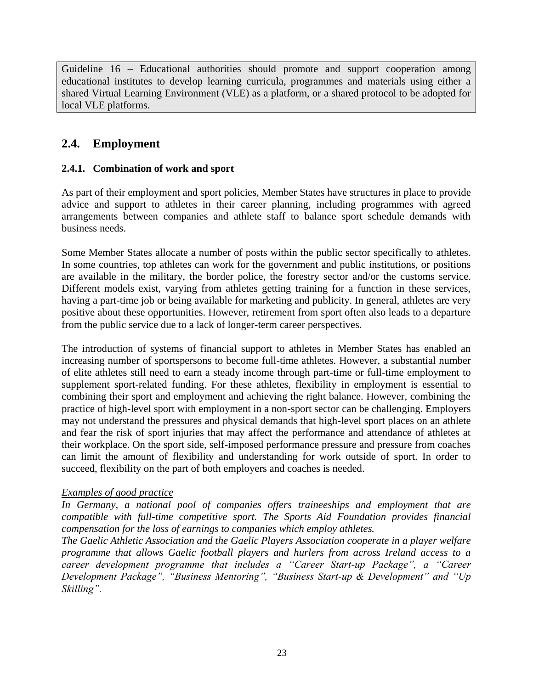Guideline 16 – Educational authorities should promote and support cooperation among educational institutes to develop learning curricula, programmes and materials using either a shared Virtual Learning Environment (VLE) as a platform, or a shared protocol to be adopted for local VLE platforms.

# <span id="page-22-0"></span>**2.4. Employment**

#### <span id="page-22-1"></span>**2.4.1. Combination of work and sport**

As part of their employment and sport policies, Member States have structures in place to provide advice and support to athletes in their career planning, including programmes with agreed arrangements between companies and athlete staff to balance sport schedule demands with business needs.

Some Member States allocate a number of posts within the public sector specifically to athletes. In some countries, top athletes can work for the government and public institutions, or positions are available in the military, the border police, the forestry sector and/or the customs service. Different models exist, varying from athletes getting training for a function in these services, having a part-time job or being available for marketing and publicity. In general, athletes are very positive about these opportunities. However, retirement from sport often also leads to a departure from the public service due to a lack of longer-term career perspectives.

The introduction of systems of financial support to athletes in Member States has enabled an increasing number of sportspersons to become full-time athletes. However, a substantial number of elite athletes still need to earn a steady income through part-time or full-time employment to supplement sport-related funding. For these athletes, flexibility in employment is essential to combining their sport and employment and achieving the right balance. However, combining the practice of high-level sport with employment in a non-sport sector can be challenging. Employers may not understand the pressures and physical demands that high-level sport places on an athlete and fear the risk of sport injuries that may affect the performance and attendance of athletes at their workplace. On the sport side, self-imposed performance pressure and pressure from coaches can limit the amount of flexibility and understanding for work outside of sport. In order to succeed, flexibility on the part of both employers and coaches is needed.

#### *Examples of good practice*

*In Germany, a national pool of companies offers traineeships and employment that are compatible with full-time competitive sport. The Sports Aid Foundation provides financial compensation for the loss of earnings to companies which employ athletes.*

*The Gaelic Athletic Association and the Gaelic Players Association cooperate in a player welfare programme that allows Gaelic football players and hurlers from across Ireland access to a career development programme that includes a "Career Start-up Package", a "Career Development Package", "Business Mentoring", "Business Start-up & Development" and "Up Skilling".*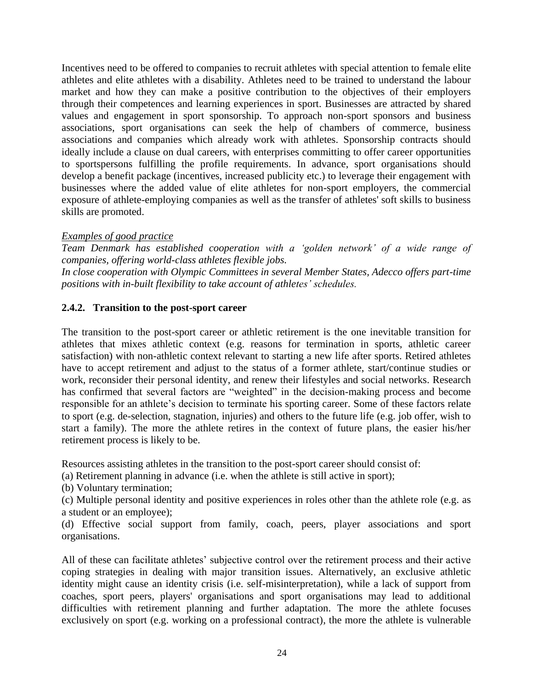Incentives need to be offered to companies to recruit athletes with special attention to female elite athletes and elite athletes with a disability. Athletes need to be trained to understand the labour market and how they can make a positive contribution to the objectives of their employers through their competences and learning experiences in sport. Businesses are attracted by shared values and engagement in sport sponsorship. To approach non-sport sponsors and business associations, sport organisations can seek the help of chambers of commerce, business associations and companies which already work with athletes. Sponsorship contracts should ideally include a clause on dual careers, with enterprises committing to offer career opportunities to sportspersons fulfilling the profile requirements. In advance, sport organisations should develop a benefit package (incentives, increased publicity etc.) to leverage their engagement with businesses where the added value of elite athletes for non-sport employers, the commercial exposure of athlete-employing companies as well as the transfer of athletes' soft skills to business skills are promoted.

#### *Examples of good practice*

*Team Denmark has established cooperation with a 'golden network' of a wide range of companies, offering world-class athletes flexible jobs.*

*In close cooperation with Olympic Committees in several Member States, Adecco offers part-time positions with in-built flexibility to take account of athletes' schedules.*

#### <span id="page-23-0"></span>**2.4.2. Transition to the post-sport career**

The transition to the post-sport career or athletic retirement is the one inevitable transition for athletes that mixes athletic context (e.g. reasons for termination in sports, athletic career satisfaction) with non-athletic context relevant to starting a new life after sports. Retired athletes have to accept retirement and adjust to the status of a former athlete, start/continue studies or work, reconsider their personal identity, and renew their lifestyles and social networks. Research has confirmed that several factors are "weighted" in the decision-making process and become responsible for an athlete's decision to terminate his sporting career. Some of these factors relate to sport (e.g. de-selection, stagnation, injuries) and others to the future life (e.g. job offer, wish to start a family). The more the athlete retires in the context of future plans, the easier his/her retirement process is likely to be.

Resources assisting athletes in the transition to the post-sport career should consist of:

(a) Retirement planning in advance (i.e. when the athlete is still active in sport);

(b) Voluntary termination;

(c) Multiple personal identity and positive experiences in roles other than the athlete role (e.g. as a student or an employee);

(d) Effective social support from family, coach, peers, player associations and sport organisations.

All of these can facilitate athletes' subjective control over the retirement process and their active coping strategies in dealing with major transition issues. Alternatively, an exclusive athletic identity might cause an identity crisis (i.e. self-misinterpretation), while a lack of support from coaches, sport peers, players' organisations and sport organisations may lead to additional difficulties with retirement planning and further adaptation. The more the athlete focuses exclusively on sport (e.g. working on a professional contract), the more the athlete is vulnerable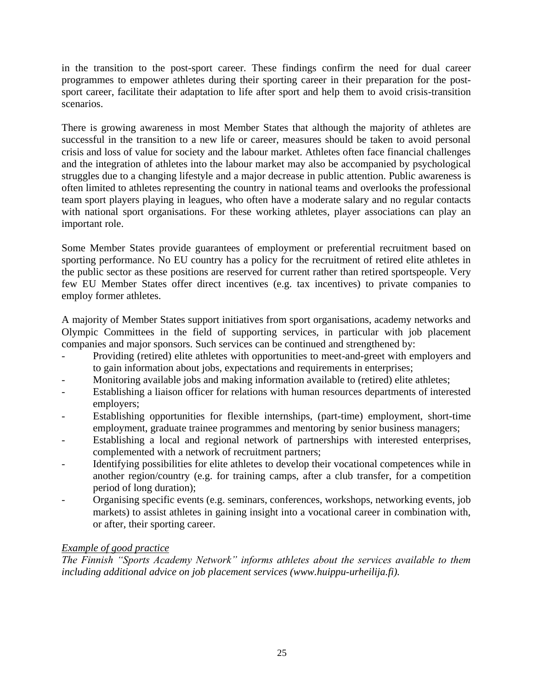in the transition to the post-sport career. These findings confirm the need for dual career programmes to empower athletes during their sporting career in their preparation for the postsport career, facilitate their adaptation to life after sport and help them to avoid crisis-transition scenarios.

There is growing awareness in most Member States that although the majority of athletes are successful in the transition to a new life or career, measures should be taken to avoid personal crisis and loss of value for society and the labour market. Athletes often face financial challenges and the integration of athletes into the labour market may also be accompanied by psychological struggles due to a changing lifestyle and a major decrease in public attention. Public awareness is often limited to athletes representing the country in national teams and overlooks the professional team sport players playing in leagues, who often have a moderate salary and no regular contacts with national sport organisations. For these working athletes, player associations can play an important role.

Some Member States provide guarantees of employment or preferential recruitment based on sporting performance. No EU country has a policy for the recruitment of retired elite athletes in the public sector as these positions are reserved for current rather than retired sportspeople. Very few EU Member States offer direct incentives (e.g. tax incentives) to private companies to employ former athletes.

A majority of Member States support initiatives from sport organisations, academy networks and Olympic Committees in the field of supporting services, in particular with job placement companies and major sponsors. Such services can be continued and strengthened by:

- Providing (retired) elite athletes with opportunities to meet-and-greet with employers and to gain information about jobs, expectations and requirements in enterprises;
- Monitoring available jobs and making information available to (retired) elite athletes;
- Establishing a liaison officer for relations with human resources departments of interested employers;
- Establishing opportunities for flexible internships, (part-time) employment, short-time employment, graduate trainee programmes and mentoring by senior business managers;
- Establishing a local and regional network of partnerships with interested enterprises, complemented with a network of recruitment partners;
- Identifying possibilities for elite athletes to develop their vocational competences while in another region/country (e.g. for training camps, after a club transfer, for a competition period of long duration);
- Organising specific events (e.g. seminars, conferences, workshops, networking events, job markets) to assist athletes in gaining insight into a vocational career in combination with, or after, their sporting career.

# *Example of good practice*

*The Finnish "Sports Academy Network" informs athletes about the services available to them including additional advice on job placement services [\(www.huippu-urheilija.fi\)](http://www.huippu-urheilija.fi/).*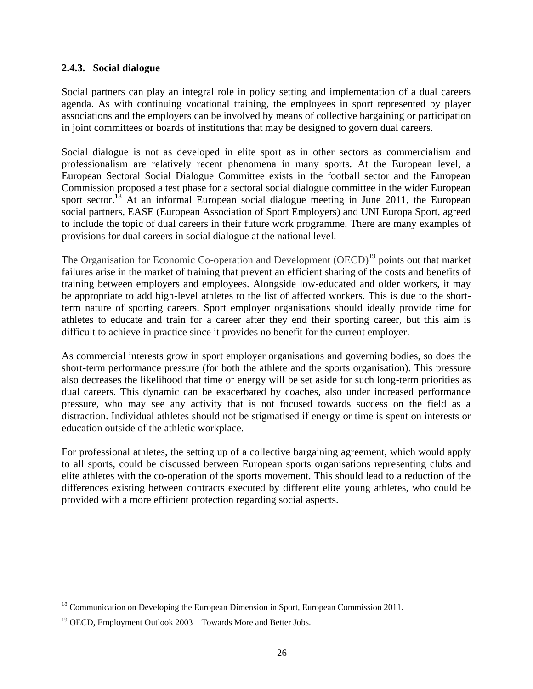#### <span id="page-25-0"></span>**2.4.3. Social dialogue**

Social partners can play an integral role in policy setting and implementation of a dual careers agenda. As with continuing vocational training, the employees in sport represented by player associations and the employers can be involved by means of collective bargaining or participation in joint committees or boards of institutions that may be designed to govern dual careers.

Social dialogue is not as developed in elite sport as in other sectors as commercialism and professionalism are relatively recent phenomena in many sports. At the European level, a European Sectoral Social Dialogue Committee exists in the football sector and the European Commission proposed a test phase for a sectoral social dialogue committee in the wider European sport sector.<sup>18</sup> At an informal European social dialogue meeting in June 2011, the European social partners, EASE (European Association of Sport Employers) and UNI Europa Sport, agreed to include the topic of dual careers in their future work programme. There are many examples of provisions for dual careers in social dialogue at the national level.

The Organisation for Economic Co-operation and Development (OECD)<sup>19</sup> points out that market failures arise in the market of training that prevent an efficient sharing of the costs and benefits of training between employers and employees. Alongside low-educated and older workers, it may be appropriate to add high-level athletes to the list of affected workers. This is due to the shortterm nature of sporting careers. Sport employer organisations should ideally provide time for athletes to educate and train for a career after they end their sporting career, but this aim is difficult to achieve in practice since it provides no benefit for the current employer.

As commercial interests grow in sport employer organisations and governing bodies, so does the short-term performance pressure (for both the athlete and the sports organisation). This pressure also decreases the likelihood that time or energy will be set aside for such long-term priorities as dual careers. This dynamic can be exacerbated by coaches, also under increased performance pressure, who may see any activity that is not focused towards success on the field as a distraction. Individual athletes should not be stigmatised if energy or time is spent on interests or education outside of the athletic workplace.

For professional athletes, the setting up of a collective bargaining agreement, which would apply to all sports, could be discussed between European sports organisations representing clubs and elite athletes with the co-operation of the sports movement. This should lead to a reduction of the differences existing between contracts executed by different elite young athletes, who could be provided with a more efficient protection regarding social aspects.

<sup>&</sup>lt;sup>18</sup> Communication on Developing the European Dimension in Sport, European Commission 2011.

<sup>&</sup>lt;sup>19</sup> OECD, Employment Outlook 2003 – Towards More and Better Jobs.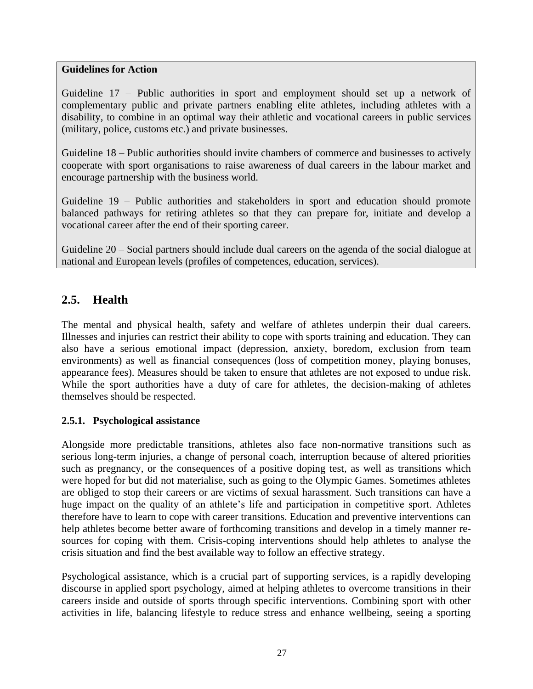#### **Guidelines for Action**

Guideline 17 – Public authorities in sport and employment should set up a network of complementary public and private partners enabling elite athletes, including athletes with a disability, to combine in an optimal way their athletic and vocational careers in public services (military, police, customs etc.) and private businesses.

Guideline 18 – Public authorities should invite chambers of commerce and businesses to actively cooperate with sport organisations to raise awareness of dual careers in the labour market and encourage partnership with the business world.

Guideline 19 – Public authorities and stakeholders in sport and education should promote balanced pathways for retiring athletes so that they can prepare for, initiate and develop a vocational career after the end of their sporting career.

Guideline 20 – Social partners should include dual careers on the agenda of the social dialogue at national and European levels (profiles of competences, education, services).

# <span id="page-26-0"></span>**2.5. Health**

The mental and physical health, safety and welfare of athletes underpin their dual careers. Illnesses and injuries can restrict their ability to cope with sports training and education. They can also have a serious emotional impact (depression, anxiety, boredom, exclusion from team environments) as well as financial consequences (loss of competition money, playing bonuses, appearance fees). Measures should be taken to ensure that athletes are not exposed to undue risk. While the sport authorities have a duty of care for athletes, the decision-making of athletes themselves should be respected.

#### <span id="page-26-1"></span>**2.5.1. Psychological assistance**

Alongside more predictable transitions, athletes also face non-normative transitions such as serious long-term injuries, a change of personal coach, interruption because of altered priorities such as pregnancy, or the consequences of a positive doping test, as well as transitions which were hoped for but did not materialise, such as going to the Olympic Games. Sometimes athletes are obliged to stop their careers or are victims of sexual harassment. Such transitions can have a huge impact on the quality of an athlete's life and participation in competitive sport. Athletes therefore have to learn to cope with career transitions. Education and preventive interventions can help athletes become better aware of forthcoming transitions and develop in a timely manner resources for coping with them. Crisis-coping interventions should help athletes to analyse the crisis situation and find the best available way to follow an effective strategy.

Psychological assistance, which is a crucial part of supporting services, is a rapidly developing discourse in applied sport psychology, aimed at helping athletes to overcome transitions in their careers inside and outside of sports through specific interventions. Combining sport with other activities in life, balancing lifestyle to reduce stress and enhance wellbeing, seeing a sporting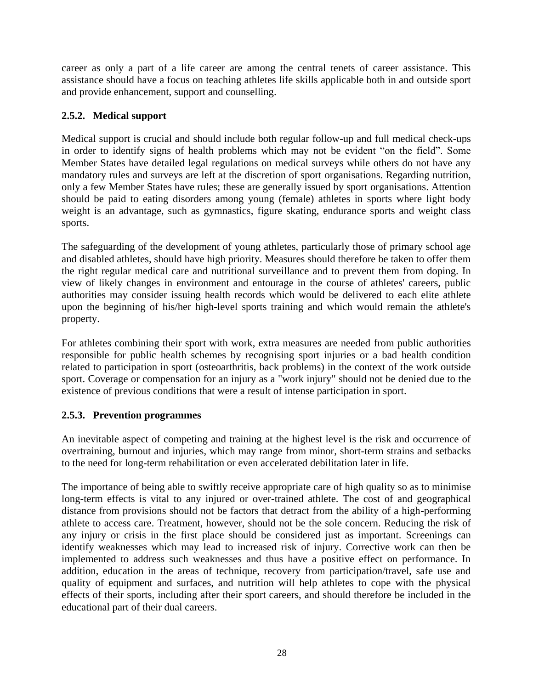career as only a part of a life career are among the central tenets of career assistance. This assistance should have a focus on teaching athletes life skills applicable both in and outside sport and provide enhancement, support and counselling.

### <span id="page-27-0"></span>**2.5.2. Medical support**

Medical support is crucial and should include both regular follow-up and full medical check-ups in order to identify signs of health problems which may not be evident "on the field". Some Member States have detailed legal regulations on medical surveys while others do not have any mandatory rules and surveys are left at the discretion of sport organisations. Regarding nutrition, only a few Member States have rules; these are generally issued by sport organisations. Attention should be paid to eating disorders among young (female) athletes in sports where light body weight is an advantage, such as gymnastics, figure skating, endurance sports and weight class sports.

The safeguarding of the development of young athletes, particularly those of primary school age and disabled athletes, should have high priority. Measures should therefore be taken to offer them the right regular medical care and nutritional surveillance and to prevent them from doping. In view of likely changes in environment and entourage in the course of athletes' careers, public authorities may consider issuing health records which would be delivered to each elite athlete upon the beginning of his/her high-level sports training and which would remain the athlete's property.

For athletes combining their sport with work, extra measures are needed from public authorities responsible for public health schemes by recognising sport injuries or a bad health condition related to participation in sport (osteoarthritis, back problems) in the context of the work outside sport. Coverage or compensation for an injury as a "work injury" should not be denied due to the existence of previous conditions that were a result of intense participation in sport.

# <span id="page-27-1"></span>**2.5.3. Prevention programmes**

An inevitable aspect of competing and training at the highest level is the risk and occurrence of overtraining, burnout and injuries, which may range from minor, short-term strains and setbacks to the need for long-term rehabilitation or even accelerated debilitation later in life.

The importance of being able to swiftly receive appropriate care of high quality so as to minimise long-term effects is vital to any injured or over-trained athlete. The cost of and geographical distance from provisions should not be factors that detract from the ability of a high-performing athlete to access care. Treatment, however, should not be the sole concern. Reducing the risk of any injury or crisis in the first place should be considered just as important. Screenings can identify weaknesses which may lead to increased risk of injury. Corrective work can then be implemented to address such weaknesses and thus have a positive effect on performance. In addition, education in the areas of technique, recovery from participation/travel, safe use and quality of equipment and surfaces, and nutrition will help athletes to cope with the physical effects of their sports, including after their sport careers, and should therefore be included in the educational part of their dual careers.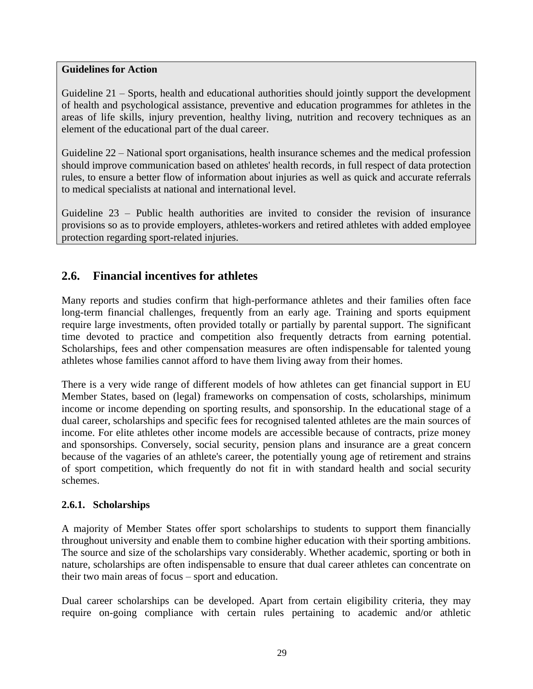#### **Guidelines for Action**

Guideline 21 – Sports, health and educational authorities should jointly support the development of health and psychological assistance, preventive and education programmes for athletes in the areas of life skills, injury prevention, healthy living, nutrition and recovery techniques as an element of the educational part of the dual career.

Guideline 22 – National sport organisations, health insurance schemes and the medical profession should improve communication based on athletes' health records, in full respect of data protection rules, to ensure a better flow of information about injuries as well as quick and accurate referrals to medical specialists at national and international level.

Guideline 23 – Public health authorities are invited to consider the revision of insurance provisions so as to provide employers, athletes-workers and retired athletes with added employee protection regarding sport-related injuries.

# <span id="page-28-0"></span>**2.6. Financial incentives for athletes**

Many reports and studies confirm that high-performance athletes and their families often face long-term financial challenges, frequently from an early age. Training and sports equipment require large investments, often provided totally or partially by parental support. The significant time devoted to practice and competition also frequently detracts from earning potential. Scholarships, fees and other compensation measures are often indispensable for talented young athletes whose families cannot afford to have them living away from their homes.

There is a very wide range of different models of how athletes can get financial support in EU Member States, based on (legal) frameworks on compensation of costs, scholarships, minimum income or income depending on sporting results, and sponsorship. In the educational stage of a dual career, scholarships and specific fees for recognised talented athletes are the main sources of income. For elite athletes other income models are accessible because of contracts, prize money and sponsorships. Conversely, social security, pension plans and insurance are a great concern because of the vagaries of an athlete's career, the potentially young age of retirement and strains of sport competition, which frequently do not fit in with standard health and social security schemes.

#### <span id="page-28-1"></span>**2.6.1. Scholarships**

A majority of Member States offer sport scholarships to students to support them financially throughout university and enable them to combine higher education with their sporting ambitions. The source and size of the scholarships vary considerably. Whether academic, sporting or both in nature, scholarships are often indispensable to ensure that dual career athletes can concentrate on their two main areas of focus – sport and education.

Dual career scholarships can be developed. Apart from certain eligibility criteria, they may require on-going compliance with certain rules pertaining to academic and/or athletic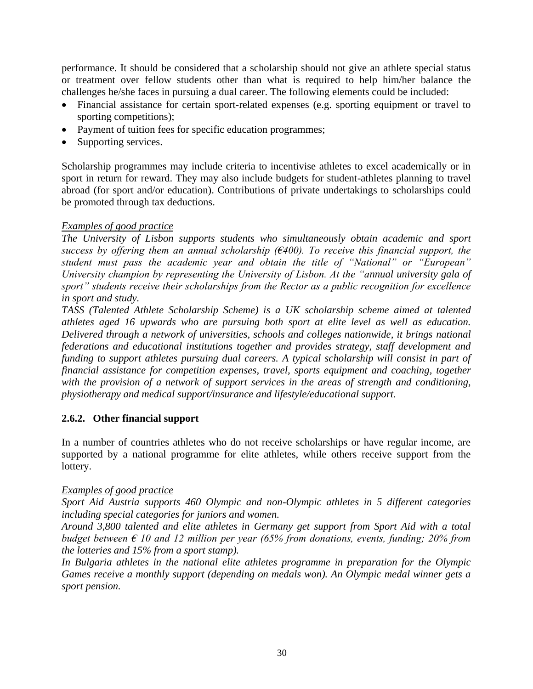performance. It should be considered that a scholarship should not give an athlete special status or treatment over fellow students other than what is required to help him/her balance the challenges he/she faces in pursuing a dual career. The following elements could be included:

- Financial assistance for certain sport-related expenses (e.g. sporting equipment or travel to sporting competitions);
- Payment of tuition fees for specific education programmes;
- Supporting services.

Scholarship programmes may include criteria to incentivise athletes to excel academically or in sport in return for reward. They may also include budgets for student-athletes planning to travel abroad (for sport and/or education). Contributions of private undertakings to scholarships could be promoted through tax deductions.

#### *Examples of good practice*

*The University of Lisbon supports students who simultaneously obtain academic and sport success by offering them an annual scholarship (€400). To receive this financial support, the student must pass the academic year and obtain the title of "National" or "European" University champion by representing the University of Lisbon. At the "annual university gala of sport" students receive their scholarships from the Rector as a public recognition for excellence in sport and study.*

*TASS (Talented Athlete Scholarship Scheme) is a UK scholarship scheme aimed at talented athletes aged 16 upwards who are pursuing both sport at elite level as well as education. Delivered through a network of universities, schools and colleges nationwide, it brings national federations and educational institutions together and provides strategy, staff development and funding to support athletes pursuing dual careers. A typical scholarship will consist in part of financial assistance for competition expenses, travel, sports equipment and coaching, together with the provision of a network of support services in the areas of strength and conditioning, physiotherapy and medical support/insurance and lifestyle/educational support.*

#### <span id="page-29-0"></span>**2.6.2. Other financial support**

In a number of countries athletes who do not receive scholarships or have regular income, are supported by a national programme for elite athletes, while others receive support from the lottery.

#### *Examples of good practice*

*Sport Aid Austria supports 460 Olympic and non-Olympic athletes in 5 different categories including special categories for juniors and women.*

*Around 3,800 talented and elite athletes in Germany get support from Sport Aid with a total budget between € 10 and 12 million per year (65% from donations, events, funding; 20% from the lotteries and 15% from a sport stamp).*

*In Bulgaria athletes in the national elite athletes programme in preparation for the Olympic Games receive a monthly support (depending on medals won). An Olympic medal winner gets a sport pension.*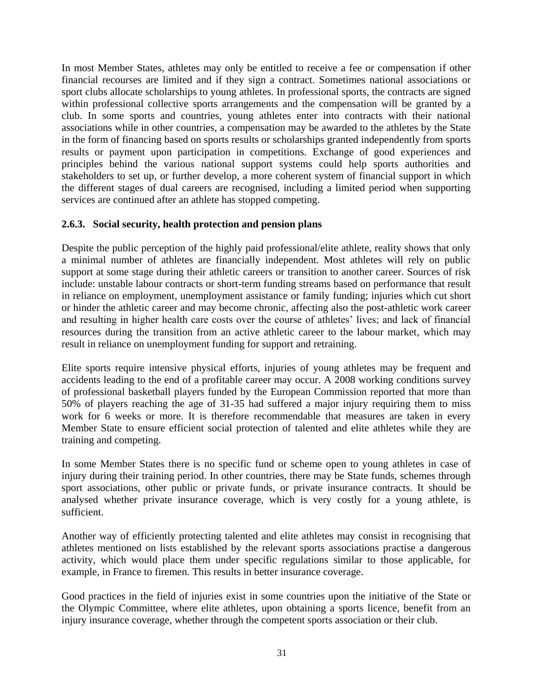In most Member States, athletes may only be entitled to receive a fee or compensation if other financial recourses are limited and if they sign a contract. Sometimes national associations or sport clubs allocate scholarships to young athletes. In professional sports, the contracts are signed within professional collective sports arrangements and the compensation will be granted by a club. In some sports and countries, young athletes enter into contracts with their national associations while in other countries, a compensation may be awarded to the athletes by the State in the form of financing based on sports results or scholarships granted independently from sports results or payment upon participation in competitions. Exchange of good experiences and principles behind the various national support systems could help sports authorities and stakeholders to set up, or further develop, a more coherent system of financial support in which the different stages of dual careers are recognised, including a limited period when supporting services are continued after an athlete has stopped competing.

#### <span id="page-30-0"></span>**2.6.3. Social security, health protection and pension plans**

Despite the public perception of the highly paid professional/elite athlete, reality shows that only a minimal number of athletes are financially independent. Most athletes will rely on public support at some stage during their athletic careers or transition to another career. Sources of risk include: unstable labour contracts or short-term funding streams based on performance that result in reliance on employment, unemployment assistance or family funding; injuries which cut short or hinder the athletic career and may become chronic, affecting also the post-athletic work career and resulting in higher health care costs over the course of athletes' lives; and lack of financial resources during the transition from an active athletic career to the labour market, which may result in reliance on unemployment funding for support and retraining.

Elite sports require intensive physical efforts, injuries of young athletes may be frequent and accidents leading to the end of a profitable career may occur. A 2008 working conditions survey of professional basketball players funded by the European Commission reported that more than 50% of players reaching the age of 31-35 had suffered a major injury requiring them to miss work for 6 weeks or more. It is therefore recommendable that measures are taken in every Member State to ensure efficient social protection of talented and elite athletes while they are training and competing.

In some Member States there is no specific fund or scheme open to young athletes in case of injury during their training period. In other countries, there may be State funds, schemes through sport associations, other public or private funds, or private insurance contracts. It should be analysed whether private insurance coverage, which is very costly for a young athlete, is sufficient.

Another way of efficiently protecting talented and elite athletes may consist in recognising that athletes mentioned on lists established by the relevant sports associations practise a dangerous activity, which would place them under specific regulations similar to those applicable, for example, in France to firemen. This results in better insurance coverage.

Good practices in the field of injuries exist in some countries upon the initiative of the State or the Olympic Committee, where elite athletes, upon obtaining a sports licence, benefit from an injury insurance coverage, whether through the competent sports association or their club.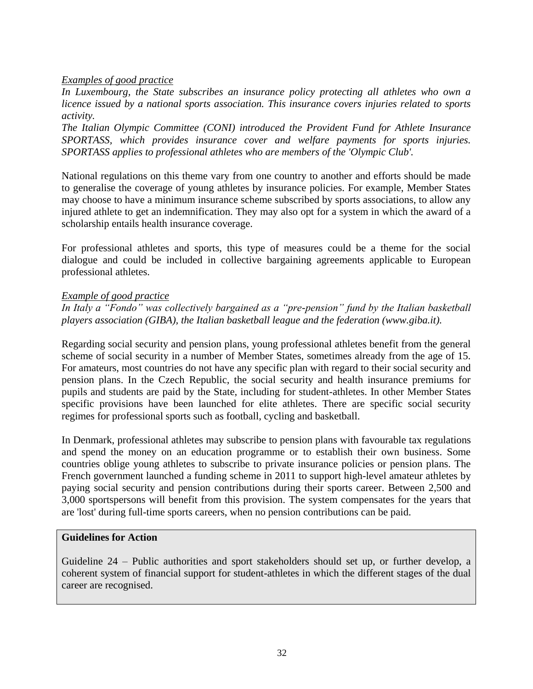#### *Examples of good practice*

*In Luxembourg, the State subscribes an insurance policy protecting all athletes who own a licence issued by a national sports association. This insurance covers injuries related to sports activity.*

*The Italian Olympic Committee (CONI) introduced the Provident Fund for Athlete Insurance SPORTASS, which provides insurance cover and welfare payments for sports injuries. SPORTASS applies to professional athletes who are members of the 'Olympic Club'.*

National regulations on this theme vary from one country to another and efforts should be made to generalise the coverage of young athletes by insurance policies. For example, Member States may choose to have a minimum insurance scheme subscribed by sports associations, to allow any injured athlete to get an indemnification. They may also opt for a system in which the award of a scholarship entails health insurance coverage.

For professional athletes and sports, this type of measures could be a theme for the social dialogue and could be included in collective bargaining agreements applicable to European professional athletes.

#### *Example of good practice*

*In Italy a "Fondo" was collectively bargained as a "pre-pension" fund by the Italian basketball players association (GIBA), the Italian basketball league and the federation (www.giba.it).*

Regarding social security and pension plans, young professional athletes benefit from the general scheme of social security in a number of Member States, sometimes already from the age of 15. For amateurs, most countries do not have any specific plan with regard to their social security and pension plans. In the Czech Republic, the social security and health insurance premiums for pupils and students are paid by the State, including for student-athletes. In other Member States specific provisions have been launched for elite athletes. There are specific social security regimes for professional sports such as football, cycling and basketball.

In Denmark, professional athletes may subscribe to pension plans with favourable tax regulations and spend the money on an education programme or to establish their own business. Some countries oblige young athletes to subscribe to private insurance policies or pension plans. The French government launched a funding scheme in 2011 to support high-level amateur athletes by paying social security and pension contributions during their sports career. Between 2,500 and 3,000 sportspersons will benefit from this provision. The system compensates for the years that are 'lost' during full-time sports careers, when no pension contributions can be paid.

#### **Guidelines for Action**

Guideline 24 – Public authorities and sport stakeholders should set up, or further develop, a coherent system of financial support for student-athletes in which the different stages of the dual career are recognised.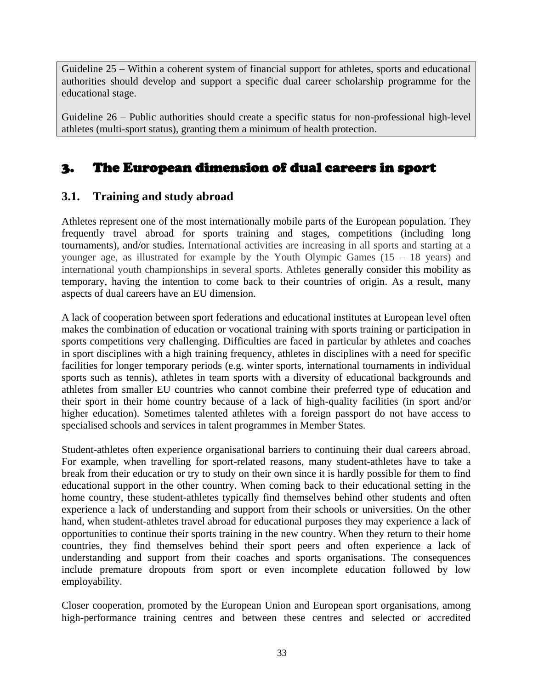Guideline 25 – Within a coherent system of financial support for athletes, sports and educational authorities should develop and support a specific dual career scholarship programme for the educational stage.

Guideline 26 – Public authorities should create a specific status for non-professional high-level athletes (multi-sport status), granting them a minimum of health protection.

# <span id="page-32-0"></span>3. The European dimension of dual careers in sport

# <span id="page-32-1"></span>**3.1. Training and study abroad**

Athletes represent one of the most internationally mobile parts of the European population. They frequently travel abroad for sports training and stages, competitions (including long tournaments), and/or studies. International activities are increasing in all sports and starting at a younger age, as illustrated for example by the Youth Olympic Games (15 – 18 years) and international youth championships in several sports. Athletes generally consider this mobility as temporary, having the intention to come back to their countries of origin. As a result, many aspects of dual careers have an EU dimension.

A lack of cooperation between sport federations and educational institutes at European level often makes the combination of education or vocational training with sports training or participation in sports competitions very challenging. Difficulties are faced in particular by athletes and coaches in sport disciplines with a high training frequency, athletes in disciplines with a need for specific facilities for longer temporary periods (e.g. winter sports, international tournaments in individual sports such as tennis), athletes in team sports with a diversity of educational backgrounds and athletes from smaller EU countries who cannot combine their preferred type of education and their sport in their home country because of a lack of high-quality facilities (in sport and/or higher education). Sometimes talented athletes with a foreign passport do not have access to specialised schools and services in talent programmes in Member States.

Student-athletes often experience organisational barriers to continuing their dual careers abroad. For example, when travelling for sport-related reasons, many student-athletes have to take a break from their education or try to study on their own since it is hardly possible for them to find educational support in the other country. When coming back to their educational setting in the home country, these student-athletes typically find themselves behind other students and often experience a lack of understanding and support from their schools or universities. On the other hand, when student-athletes travel abroad for educational purposes they may experience a lack of opportunities to continue their sports training in the new country. When they return to their home countries, they find themselves behind their sport peers and often experience a lack of understanding and support from their coaches and sports organisations. The consequences include premature dropouts from sport or even incomplete education followed by low employability.

Closer cooperation, promoted by the European Union and European sport organisations, among high-performance training centres and between these centres and selected or accredited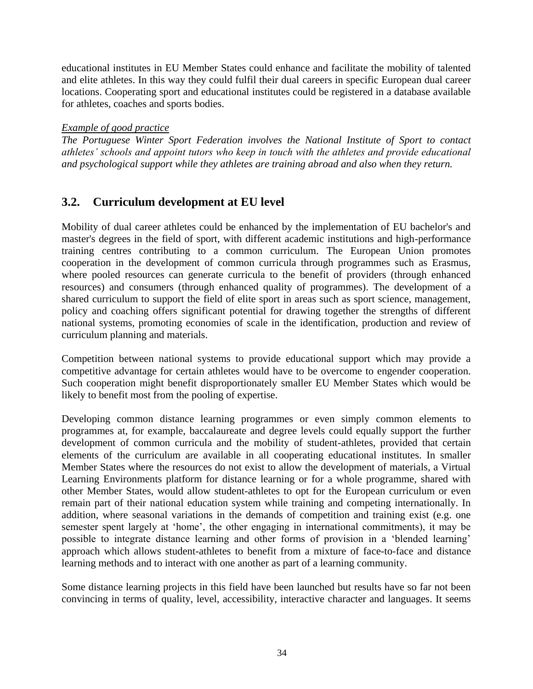educational institutes in EU Member States could enhance and facilitate the mobility of talented and elite athletes. In this way they could fulfil their dual careers in specific European dual career locations. Cooperating sport and educational institutes could be registered in a database available for athletes, coaches and sports bodies.

#### *Example of good practice*

*The Portuguese Winter Sport Federation involves the National Institute of Sport to contact athletes' schools and appoint tutors who keep in touch with the athletes and provide educational and psychological support while they athletes are training abroad and also when they return.*

# <span id="page-33-0"></span>**3.2. Curriculum development at EU level**

Mobility of dual career athletes could be enhanced by the implementation of EU bachelor's and master's degrees in the field of sport, with different academic institutions and high-performance training centres contributing to a common curriculum. The European Union promotes cooperation in the development of common curricula through programmes such as Erasmus, where pooled resources can generate curricula to the benefit of providers (through enhanced resources) and consumers (through enhanced quality of programmes). The development of a shared curriculum to support the field of elite sport in areas such as sport science, management, policy and coaching offers significant potential for drawing together the strengths of different national systems, promoting economies of scale in the identification, production and review of curriculum planning and materials.

Competition between national systems to provide educational support which may provide a competitive advantage for certain athletes would have to be overcome to engender cooperation. Such cooperation might benefit disproportionately smaller EU Member States which would be likely to benefit most from the pooling of expertise.

Developing common distance learning programmes or even simply common elements to programmes at, for example, baccalaureate and degree levels could equally support the further development of common curricula and the mobility of student-athletes, provided that certain elements of the curriculum are available in all cooperating educational institutes. In smaller Member States where the resources do not exist to allow the development of materials, a Virtual Learning Environments platform for distance learning or for a whole programme, shared with other Member States, would allow student-athletes to opt for the European curriculum or even remain part of their national education system while training and competing internationally. In addition, where seasonal variations in the demands of competition and training exist (e.g. one semester spent largely at 'home', the other engaging in international commitments), it may be possible to integrate distance learning and other forms of provision in a 'blended learning' approach which allows student-athletes to benefit from a mixture of face-to-face and distance learning methods and to interact with one another as part of a learning community.

Some distance learning projects in this field have been launched but results have so far not been convincing in terms of quality, level, accessibility, interactive character and languages. It seems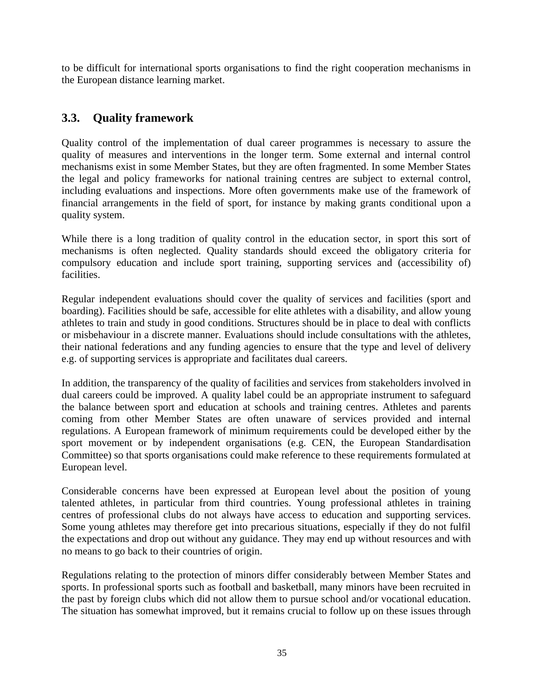to be difficult for international sports organisations to find the right cooperation mechanisms in the European distance learning market.

# <span id="page-34-0"></span>**3.3. Quality framework**

Quality control of the implementation of dual career programmes is necessary to assure the quality of measures and interventions in the longer term. Some external and internal control mechanisms exist in some Member States, but they are often fragmented. In some Member States the legal and policy frameworks for national training centres are subject to external control, including evaluations and inspections. More often governments make use of the framework of financial arrangements in the field of sport, for instance by making grants conditional upon a quality system.

While there is a long tradition of quality control in the education sector, in sport this sort of mechanisms is often neglected. Quality standards should exceed the obligatory criteria for compulsory education and include sport training, supporting services and (accessibility of) facilities.

Regular independent evaluations should cover the quality of services and facilities (sport and boarding). Facilities should be safe, accessible for elite athletes with a disability, and allow young athletes to train and study in good conditions. Structures should be in place to deal with conflicts or misbehaviour in a discrete manner. Evaluations should include consultations with the athletes, their national federations and any funding agencies to ensure that the type and level of delivery e.g. of supporting services is appropriate and facilitates dual careers.

In addition, the transparency of the quality of facilities and services from stakeholders involved in dual careers could be improved. A quality label could be an appropriate instrument to safeguard the balance between sport and education at schools and training centres. Athletes and parents coming from other Member States are often unaware of services provided and internal regulations. A European framework of minimum requirements could be developed either by the sport movement or by independent organisations (e.g. CEN, the European Standardisation Committee) so that sports organisations could make reference to these requirements formulated at European level.

Considerable concerns have been expressed at European level about the position of young talented athletes, in particular from third countries. Young professional athletes in training centres of professional clubs do not always have access to education and supporting services. Some young athletes may therefore get into precarious situations, especially if they do not fulfil the expectations and drop out without any guidance. They may end up without resources and with no means to go back to their countries of origin.

Regulations relating to the protection of minors differ considerably between Member States and sports. In professional sports such as football and basketball, many minors have been recruited in the past by foreign clubs which did not allow them to pursue school and/or vocational education. The situation has somewhat improved, but it remains crucial to follow up on these issues through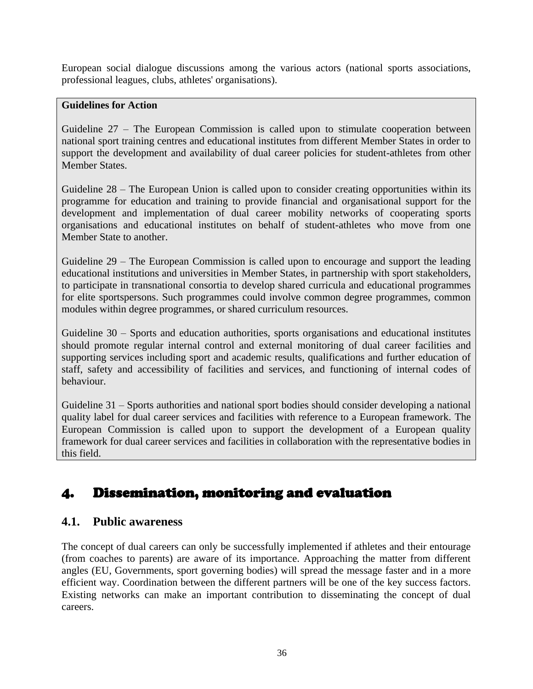European social dialogue discussions among the various actors (national sports associations, professional leagues, clubs, athletes' organisations).

#### **Guidelines for Action**

Guideline 27 – The European Commission is called upon to stimulate cooperation between national sport training centres and educational institutes from different Member States in order to support the development and availability of dual career policies for student-athletes from other Member States.

Guideline 28 – The European Union is called upon to consider creating opportunities within its programme for education and training to provide financial and organisational support for the development and implementation of dual career mobility networks of cooperating sports organisations and educational institutes on behalf of student-athletes who move from one Member State to another.

Guideline 29 – The European Commission is called upon to encourage and support the leading educational institutions and universities in Member States, in partnership with sport stakeholders, to participate in transnational consortia to develop shared curricula and educational programmes for elite sportspersons. Such programmes could involve common degree programmes, common modules within degree programmes, or shared curriculum resources.

Guideline 30 – Sports and education authorities, sports organisations and educational institutes should promote regular internal control and external monitoring of dual career facilities and supporting services including sport and academic results, qualifications and further education of staff, safety and accessibility of facilities and services, and functioning of internal codes of behaviour.

Guideline 31 – Sports authorities and national sport bodies should consider developing a national quality label for dual career services and facilities with reference to a European framework. The European Commission is called upon to support the development of a European quality framework for dual career services and facilities in collaboration with the representative bodies in this field.

# <span id="page-35-0"></span>4. Dissemination, monitoring and evaluation

# <span id="page-35-1"></span>**4.1. Public awareness**

The concept of dual careers can only be successfully implemented if athletes and their entourage (from coaches to parents) are aware of its importance. Approaching the matter from different angles (EU, Governments, sport governing bodies) will spread the message faster and in a more efficient way. Coordination between the different partners will be one of the key success factors. Existing networks can make an important contribution to disseminating the concept of dual careers.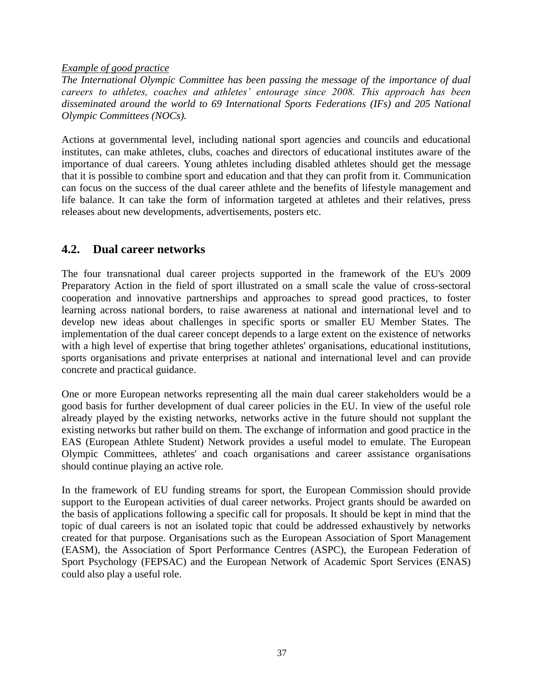*Example of good practice*

*The International Olympic Committee has been passing the message of the importance of dual careers to athletes, coaches and athletes' entourage since 2008. This approach has been disseminated around the world to 69 International Sports Federations (IFs) and 205 National Olympic Committees (NOCs).*

Actions at governmental level, including national sport agencies and councils and educational institutes, can make athletes, clubs, coaches and directors of educational institutes aware of the importance of dual careers. Young athletes including disabled athletes should get the message that it is possible to combine sport and education and that they can profit from it. Communication can focus on the success of the dual career athlete and the benefits of lifestyle management and life balance. It can take the form of information targeted at athletes and their relatives, press releases about new developments, advertisements, posters etc.

# <span id="page-36-0"></span>**4.2. Dual career networks**

The four transnational dual career projects supported in the framework of the EU's 2009 Preparatory Action in the field of sport illustrated on a small scale the value of cross-sectoral cooperation and innovative partnerships and approaches to spread good practices, to foster learning across national borders, to raise awareness at national and international level and to develop new ideas about challenges in specific sports or smaller EU Member States. The implementation of the dual career concept depends to a large extent on the existence of networks with a high level of expertise that bring together athletes' organisations, educational institutions, sports organisations and private enterprises at national and international level and can provide concrete and practical guidance.

One or more European networks representing all the main dual career stakeholders would be a good basis for further development of dual career policies in the EU. In view of the useful role already played by the existing networks, networks active in the future should not supplant the existing networks but rather build on them. The exchange of information and good practice in the EAS (European Athlete Student) Network provides a useful model to emulate. The European Olympic Committees, athletes' and coach organisations and career assistance organisations should continue playing an active role.

In the framework of EU funding streams for sport, the European Commission should provide support to the European activities of dual career networks. Project grants should be awarded on the basis of applications following a specific call for proposals. It should be kept in mind that the topic of dual careers is not an isolated topic that could be addressed exhaustively by networks created for that purpose. Organisations such as the European Association of Sport Management (EASM), the Association of Sport Performance Centres (ASPC), the European Federation of Sport Psychology (FEPSAC) and the European Network of Academic Sport Services (ENAS) could also play a useful role.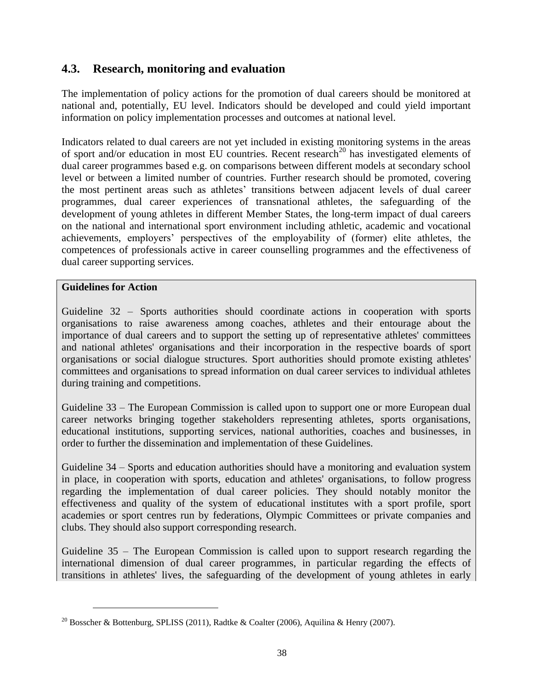# <span id="page-37-0"></span>**4.3. Research, monitoring and evaluation**

The implementation of policy actions for the promotion of dual careers should be monitored at national and, potentially, EU level. Indicators should be developed and could yield important information on policy implementation processes and outcomes at national level.

Indicators related to dual careers are not yet included in existing monitoring systems in the areas of sport and/or education in most EU countries. Recent research<sup>20</sup> has investigated elements of dual career programmes based e.g. on comparisons between different models at secondary school level or between a limited number of countries. Further research should be promoted, covering the most pertinent areas such as athletes' transitions between adjacent levels of dual career programmes, dual career experiences of transnational athletes, the safeguarding of the development of young athletes in different Member States, the long-term impact of dual careers on the national and international sport environment including athletic, academic and vocational achievements, employers' perspectives of the employability of (former) elite athletes, the competences of professionals active in career counselling programmes and the effectiveness of dual career supporting services.

#### **Guidelines for Action**

Guideline 32 – Sports authorities should coordinate actions in cooperation with sports organisations to raise awareness among coaches, athletes and their entourage about the importance of dual careers and to support the setting up of representative athletes' committees and national athletes' organisations and their incorporation in the respective boards of sport organisations or social dialogue structures. Sport authorities should promote existing athletes' committees and organisations to spread information on dual career services to individual athletes during training and competitions.

Guideline 33 – The European Commission is called upon to support one or more European dual career networks bringing together stakeholders representing athletes, sports organisations, educational institutions, supporting services, national authorities, coaches and businesses, in order to further the dissemination and implementation of these Guidelines.

Guideline 34 – Sports and education authorities should have a monitoring and evaluation system in place, in cooperation with sports, education and athletes' organisations, to follow progress regarding the implementation of dual career policies. They should notably monitor the effectiveness and quality of the system of educational institutes with a sport profile, sport academies or sport centres run by federations, Olympic Committees or private companies and clubs. They should also support corresponding research.

Guideline 35 – The European Commission is called upon to support research regarding the international dimension of dual career programmes, in particular regarding the effects of transitions in athletes' lives, the safeguarding of the development of young athletes in early

<sup>&</sup>lt;sup>20</sup> Bosscher & Bottenburg, SPLISS (2011), Radtke & Coalter (2006), Aquilina & Henry (2007).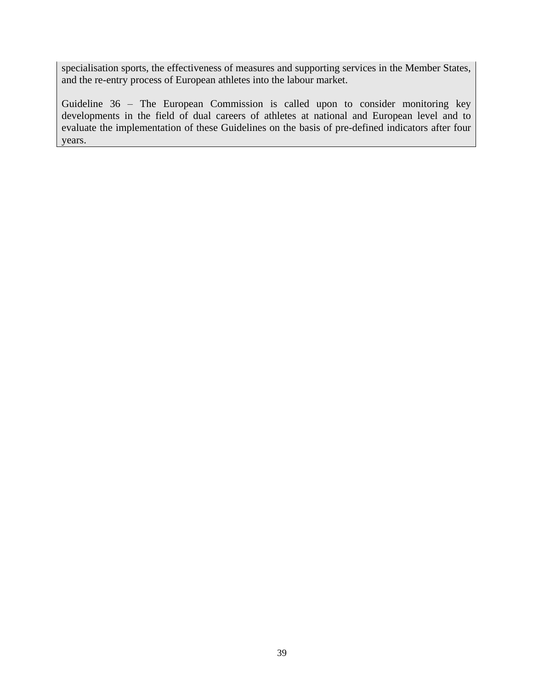specialisation sports, the effectiveness of measures and supporting services in the Member States, and the re-entry process of European athletes into the labour market.

Guideline 36 – The European Commission is called upon to consider monitoring key developments in the field of dual careers of athletes at national and European level and to evaluate the implementation of these Guidelines on the basis of pre-defined indicators after four years.